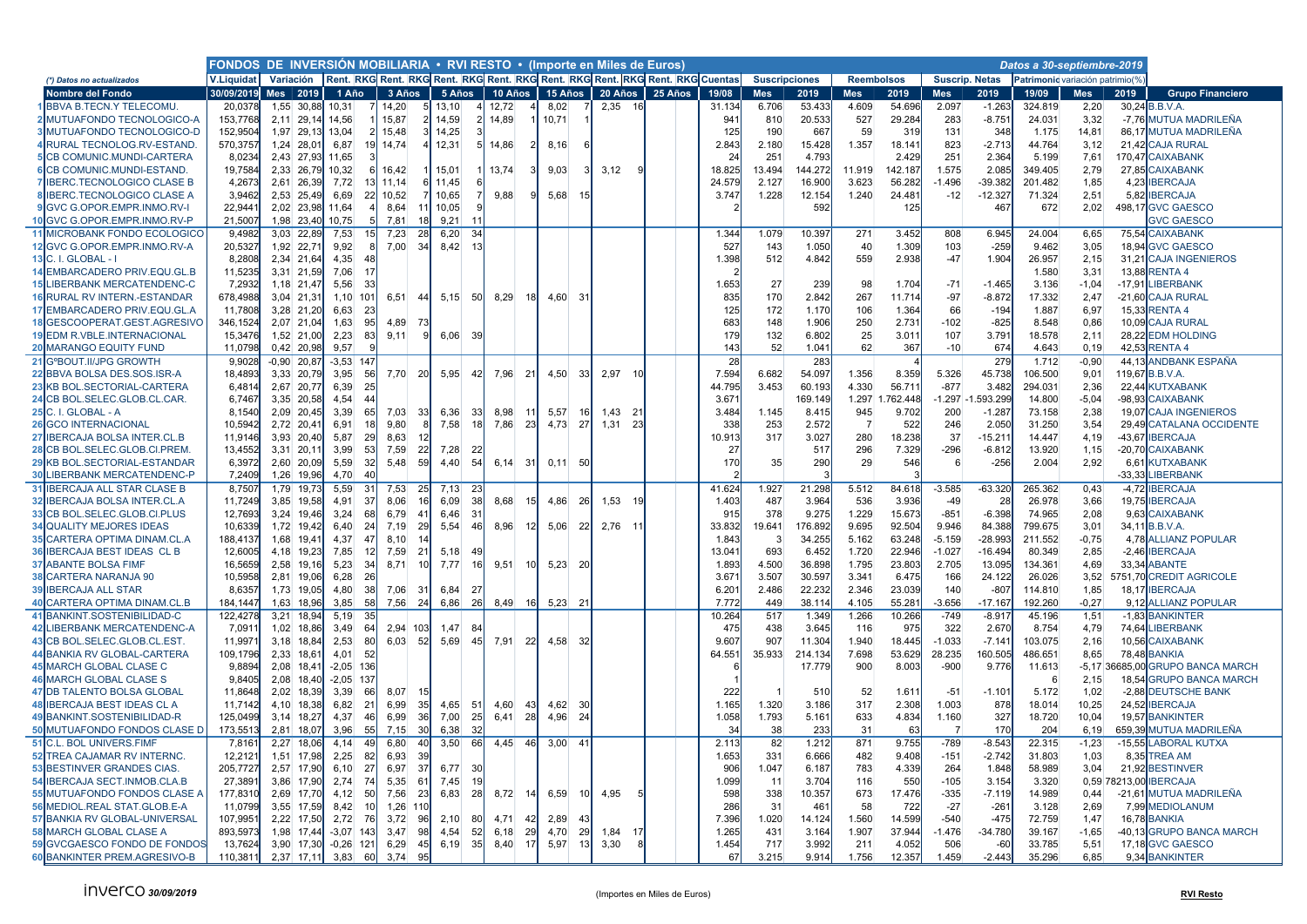|                                                                | FONDOS DE INVERSIÓN MOBILIARIA . RVI RESTO . (Importe en Miles de Euros)<br>Variación Rent. RKG Rent. RKG Rent. RKG Rent. RKG Rent. RKG Rent. RKG Rent. RKG Cuentas |               |            |                    |           |                |                        |                   |                 |         |           |                        |         |                |                       |                 |                |                   |                   |                       |                                 |                 |          |                                         |
|----------------------------------------------------------------|---------------------------------------------------------------------------------------------------------------------------------------------------------------------|---------------|------------|--------------------|-----------|----------------|------------------------|-------------------|-----------------|---------|-----------|------------------------|---------|----------------|-----------------------|-----------------|----------------|-------------------|-------------------|-----------------------|---------------------------------|-----------------|----------|-----------------------------------------|
| (*) Datos no actualizados                                      | <b>V.Liquidat</b>                                                                                                                                                   |               |            |                    |           |                |                        |                   |                 |         |           |                        |         |                | <b>Suscripciones</b>  |                 |                | <b>Reembolsos</b> |                   | <b>Suscrip. Netas</b> | Patrimonic variación patrimio(% |                 |          |                                         |
| Nombre del Fondo                                               | 30/09/2019                                                                                                                                                          | Mes 1 2019    |            | 1 Año              | 3 Años    |                | 5 Años                 | 10 Años           |                 | 15 Años |           | 20 Años                | 25 Años | 19/08          | <b>Mes</b>            | 2019            | <b>Mes</b>     | 2019              | <b>Mes</b>        | 2019                  | 19/09                           | Mes             | 2019     | <b>Grupo Financiero</b>                 |
| BBVA B.TECN.Y TELECOMU                                         | 20,0378                                                                                                                                                             |               | 1,55 30,88 | 10,31              | 14,20     |                | 13,10                  | 12,72             |                 | 8,02    |           | 2,35 16                |         | 31.134         | 6.706                 | 53.433          | 4.609          | 54.696            | 2.097             | $-1.263$              | 324.819                         | 2,20            |          | 30,24 B.B.V.A.                          |
| MUTUAFONDO TECNOLOGICO-A                                       | 153,7768                                                                                                                                                            | 2,11 29,14    |            | 14,56              | 15,87     |                | 14,59                  | 14,89             |                 | 10,71   |           |                        |         | 94'            | 810                   | 20.533          | 527            | 29.284            | 283               | $-8.751$              | 24.031                          | 3,32            |          | -7,76 MUTUA MADRILEÑA                   |
| <b>BIMUTUAFONDO TECNOLOGICO-D</b>                              | 152.9504                                                                                                                                                            |               | 1,97 29,13 | 13,04              | 15,48     |                | 14,25                  |                   |                 |         |           |                        |         | 125            | 190                   | 667             | 59             | 319               | 131               | 348                   | 1.175                           | 14,81           |          | 86.17 MUTUA MADRILEÑA                   |
| RURAL TECNOLOG.RV-ESTAND.                                      | 570,3757                                                                                                                                                            | 1,24 28,01    |            | 6,87<br>19         | 14,74     |                | 12,31                  | 14,86             |                 | 8,16    |           |                        |         | 2.84           | 2.180                 | 15.428          | 1.357          | 18.14             | 823               | $-2.713$              | 44.764                          | 3,12            |          | 21,42 CAJA RURAL                        |
| <b>5 CB COMUNIC.MUNDI-CARTERA</b>                              | 8,0234                                                                                                                                                              |               | 2,43 27,93 | 11,65              |           |                |                        |                   |                 |         |           |                        |         | 2 <sub>0</sub> | 251                   | 4.793           |                | 2.429             | 251               | 2.364                 | 5.199                           | 7,61            |          | 170,47 CAIXABANK                        |
| <b>SCB COMUNIC.MUNDI-ESTAND.</b>                               | 19.7584                                                                                                                                                             |               | 2.33 26.79 | 10.32              | 16.42     |                | 15.01                  | 13.74             |                 | 9,03    |           | 3.12                   |         | 18.825         | 13.494                | 144.272         | 11.919         | 142.187           | 1.575             | 2.085                 | 349.405                         | 2.79            |          | 27.85 CAIXABANK                         |
| <b>IBERC.TECNOLOGICO CLASE B</b>                               | 4,2673                                                                                                                                                              |               | 2.61 26.39 | 7,72               | 11.14     |                | 11,45                  |                   |                 |         |           |                        |         | 24.579         | 2.127                 | 16.900          | 3.623          | 56.282            | $-1.496$          | $-39.382$             | 201.482                         | 1,85            | 4.23     | <b>IBERCAJA</b>                         |
| <b>IBERC.TECNOLOGICO CLASE A</b>                               | 3,9462                                                                                                                                                              | 2,53 25,49    |            | 6,69<br>22         | 10,52     |                | 10,65                  | 9,88              | c               | 5,68    |           |                        |         | 3.747          | 1.228                 | 12.154          | 1.240          | 24.481            | $-12$             | $-12.327$             | 71.324                          | 2,51            | 5,82     | <b>IBERCAJA</b>                         |
| GVC G.OPOR.EMPR.INMO.RV-I                                      | 22,944                                                                                                                                                              |               | 2,02 23,98 | 11,64              | 8,64      | 11             | 10,05                  |                   |                 |         |           |                        |         |                |                       | 592             |                | 125               |                   | 467                   | 672                             | 2,02            |          | 498,17 GVC GAESCO                       |
| 10 GVC G.OPOR.EMPR.INMO.RV-P                                   | 21,5007                                                                                                                                                             |               | 1,98 23,40 | 10,75              | 7,81      | 18             | 9,21                   |                   |                 |         |           |                        |         |                |                       |                 |                |                   |                   |                       |                                 |                 |          | <b>GVC GAESCO</b>                       |
| 11<br>MICROBANK FONDO ECOLOGICO                                | 9.4982                                                                                                                                                              | 3.03 22.89    |            | 7,53               | 7.23      | -28            | 6,20<br>34             |                   |                 |         |           |                        |         | 1.344          | 1.079                 | 10.397          | 271            | 3.452             | 808               | 6.945                 | 24.004                          | 6,65            | 75.54    | <b>CAIXABANK</b>                        |
| 12 GVC G.OPOR.EMPR.INMO.RV-A                                   | 20,5327                                                                                                                                                             | 1,92 22,71    |            | 9,92               | 7,00      | 34             | 8,42<br>13             |                   |                 |         |           |                        |         | 527            | 143                   | 1.050           | 40             | 1.309             | 103               | $-259$                | 9.462                           | 3,05            |          | 18,94 GVC GAESCO                        |
| C. I. GLOBAL - I<br>13                                         | 8.2808                                                                                                                                                              | 2.34 21.64    |            | 4.35               |           |                |                        |                   |                 |         |           |                        |         | 1.398          | 512                   | 4.842           | 559            | 2.938             | $-47$             | 1.904                 | 26.957                          | 2.15            |          | 31.21 CAJA INGENIEROS                   |
| <b>EMBARCADERO PRIV.EQU.GL.B</b>                               | 11.5235                                                                                                                                                             |               | 3.31 21.59 | 7,06<br>17         |           |                |                        |                   |                 |         |           |                        |         |                |                       |                 |                |                   |                   |                       | 1.580                           | 3.31            |          | 13.88 RENTA 4                           |
| <b>15 LIBERBANK MERCATENDENC-C</b>                             | 7,2932                                                                                                                                                              |               | 1,18 21,47 | 5,56<br>-33        |           |                |                        |                   |                 |         |           |                        |         | 1.653          | 27                    | 239             | 98             | 1.704             | $-71$             | $-1.465$              | 3.136                           | $-1,04$         |          | -17,91 LIBERBANK                        |
| RURAL RV INTERN.-ESTANDAR                                      | 678,4988                                                                                                                                                            | 3.04 21.31    |            | 1,10 101           | 6,51      | 44             | $5,15$ 50              | 8,29              | 18              | 4,60    | -31       |                        |         | 835            | 170                   | 2.842           | 267            | 11.71             | -97               | $-8.872$              | 17.332                          | 2,47            |          | -21,60 CAJA RURAL                       |
| EMBARCADERO PRIV.EQU.GL.A<br>17                                | 11,7808                                                                                                                                                             | 3,28 21,20    |            | 6,63<br>23         |           |                |                        |                   |                 |         |           |                        |         | 125            | 172                   | 1.17            | 106            | 1.364             | 66                | $-194$                | 1.887                           | 6,97            | 15,33    | <b>RENTA4</b>                           |
| GESCOOPERAT.GEST.AGRESIVO<br>18 <sup>1</sup>                   | 346,1524                                                                                                                                                            | 2,07 21,04    |            | 1,63<br>95         | 4,89      | -73            |                        |                   |                 |         |           |                        |         | 683            | 148                   | 1.906           | 250            | 2.73              | $-102$            | $-825$                | 8.548                           | 0,86            |          | 10,09 CAJA RURAL                        |
| <b>EDM R.VBLE.INTERNACIONAL</b>                                | 15.3476                                                                                                                                                             |               | 1,52 21,00 | 2,23<br>83         | 9.11      |                | 6,06<br>- 39           |                   |                 |         |           |                        |         | <b>179</b>     | 132                   | 6.802           | 25             | 3.01              | 107               | 3.79 <sup>′</sup>     | 18.578                          | 2.11            |          | 28.22 EDM HOLDING                       |
| <b>MARANGO EQUITY FUND</b><br>20                               | 11,0798                                                                                                                                                             |               | 0,42 20,98 | 9,57               |           |                |                        |                   |                 |         |           |                        |         | 143            | 52                    | 1.041           | 62             | 367               | $-10$             | 674                   | 4.643                           | 0,19            | 42,53    | <b>RENTA4</b>                           |
| 21 GºBOUT.II/JPG GROWTH                                        | 9,9028                                                                                                                                                              | $-0.90$ 20.87 |            | $-3,53$ 147        |           |                |                        |                   |                 |         |           |                        |         | 28             |                       | 283             |                |                   |                   | 279                   | 1.712                           | $-0.90$         |          | 44,13 ANDBANK ESPAÑA                    |
| 22 BBVA BOLSA DES.SOS.ISR-A                                    | 18,4893                                                                                                                                                             |               | 3,33 20,79 | 3,95<br>56         | 7.70 20   |                | 5.95<br>42             | 7.96              | 21              | 4,50    | -33       | 2.97 10                |         | 7.594          | 6.682                 | 54.097          | 1.356          | 8.359             | 5.326             | 45.738                | 106.500                         | 9,01            |          | 119,67 B.B.V.A.                         |
| 23 KB BOL.SECTORIAL-CARTERA                                    | 6,481                                                                                                                                                               | 2,67 20,77    |            | 6,39<br>25         |           |                |                        |                   |                 |         |           |                        |         | 44.795         | 3.453                 | 60.193          | 4.330          | 56.71             | $-877$            | 3.482                 | 294.031                         | 2,36            |          | 22,44 KUTXABANK                         |
| CB BOL.SELEC.GLOB.CL.CAR<br>24                                 | 6,7467                                                                                                                                                              | 3,35 20,58    |            | 44<br>4,54         |           |                |                        |                   |                 |         |           |                        |         | 3.67           |                       | 169.149         | 1.297          | .762.448          | $-1.297$          | 593.299               | 14.800                          | $-5,04$         |          | -98,93 CAIXABANK                        |
| 25 C. I. GLOBAL - A                                            | 8,1540                                                                                                                                                              |               | 2,09 20,45 | 3,39<br>65         | 7,03      | 33             | 6,36<br>-33            | 8,98              | 11              | 5,57    | -16       | 1,43<br>2 <sup>1</sup> |         | 3.484          | 1.145                 | 8.415           | 945            | 9.702             | 200               | $-1.287$              | 73.158                          | 2,38            | 19,07    | <b>CAJA INGENIEROS</b>                  |
| <b>26 GCO INTERNACIONAL</b>                                    | 10,5942                                                                                                                                                             | 2,72 20,41    |            | 6,91<br>18         | 9,80      |                | 7,58                   | <b>18</b><br>7,86 | 23              | 4,73    | 27        | 1,31<br>-23            |         | 338            | 253                   | 2.572           | -7             | 522               | 246               | 2.050                 | 31.250                          | 3,54            |          | 29,49 CATALANA OCCIDENTE                |
| 27 IBERCAJA BOLSA INTER.CL.B                                   | 11,9146                                                                                                                                                             |               | 3,93 20,40 | 29<br>5,87         | 8,63      |                |                        |                   |                 |         |           |                        |         | 10.91          | 317                   | 3.027           | 280            | 18.238            | 37                | $-15.21$              | 14.447                          | 4,19            |          | -43,67 IBERCAJA                         |
| 28 CB BOL.SELEC.GLOB.CI.PREM                                   | 13,4552                                                                                                                                                             | 3,31 20,11    |            | 3,99<br>53         | 7,59      | 22             | 7,28<br>22             |                   |                 |         |           |                        |         | 27             |                       | 517             | 296            | 7.329             | $-296$            | $-6.812$              | 13.920                          | 1,15            |          | -20,70 CAIXABANK                        |
| <b>KB BOL.SECTORIAL-ESTANDAR</b><br>29                         | 6.3972                                                                                                                                                              |               | 2.60 20.09 | 5.59<br>32         | 5.48      | 59             | 4.40<br>54             | 6.14              | 31              | 0.11    | 50        |                        |         | 170            | 35                    | 290             | 29             | 546               | 6                 |                       | 2.004                           | 2.92            | 6.61     | <b>KUTXABANK</b>                        |
| 30 <sup>1</sup><br>LIBERBANK MERCATENDENC-P                    | 7,2409                                                                                                                                                              | 1,26 19,96    |            | 4,70<br>40         |           |                |                        |                   |                 |         |           |                        |         |                |                       |                 |                |                   |                   | $-256$                |                                 |                 | $-33,33$ | <b>LIBERBANK</b>                        |
| 31<br><b>IBERCAJA ALL STAR CLASE B</b>                         | 8,750                                                                                                                                                               |               | 1,79 19,73 | 5,59<br>31         |           | 2!             | 23                     |                   |                 |         |           |                        |         | 41.624         | 1.927                 | 21.298          |                |                   | $-3.585$          | $-63.320$             |                                 | 0,43            |          | -4,72 IBERCAJA                          |
| 32                                                             |                                                                                                                                                                     |               |            | -37                | 7,53      | 16             | 7,13<br>6.09<br>38     | 8.68              | 15              |         | -26       | -10                    |         | 1.403          |                       | 3.964           | 5.512          | 84.618            | $-49$             | -28                   | 265.362                         |                 |          |                                         |
| <b>IBERCAJA BOLSA INTER.CL.A</b>                               | 11,7249                                                                                                                                                             |               | 3,85 19,58 | 4,91               | 8,06      |                |                        |                   |                 | 4,86    |           | 1,53                   |         |                | 487                   |                 | 536            | 3.936             |                   |                       | 26.978                          | 3,66            |          | 19,75 IBERCAJA                          |
| 33 CB BOL.SELEC.GLOB.CI.PLUS                                   | 12,7693                                                                                                                                                             |               | 3,24 19,46 | 3,24<br>68         | 6,79      | $\overline{4}$ | 6,46<br>3 <sup>1</sup> |                   |                 |         |           |                        |         | 91             | 378                   | 9.275           | 1.229          | 15.673            | $-851$            | $-6.398$              | 74.965                          | 2,08            | 9,63     | <b>CAIXABANK</b>                        |
| <b>34 QUALITY MEJORES IDEAS</b>                                | 10,6339                                                                                                                                                             |               | 1,72 19,42 | 6,40<br>24         | 7,19      | -29            | 5,54<br>46             | 8,96              | 12 <sup>1</sup> | 5,06    | -22       | 2,76 11                |         | 33.83          | 19.641                | 176.892         | 9.695          | 92.504            | 9.946             | 84.388                | 799.675                         | 3,01            |          | 34,11 B.B.V.A.                          |
| 35 CARTERA OPTIMA DINAM.CL.A<br>36                             | 188,4137                                                                                                                                                            | 1.68 19.41    |            | 4,37<br>47<br>12   | 8,10      | $2^{\circ}$    |                        |                   |                 |         |           |                        |         | 1.843          | $\overline{3}$<br>693 | 34.255<br>6.452 | 5.162          | 63.248            | $-5.159$          | $-28.993$             | 211.552                         | $-0,75$<br>2,85 | $-2.46$  | 4,78 ALLIANZ POPULAR<br><b>IBERCAJA</b> |
| <b>IBERCAJA BEST IDEAS CL B</b><br><b>37 ABANTE BOLSA FIME</b> | 12,6005                                                                                                                                                             | 4,18 19,23    |            | 7,85<br>5,23<br>34 | 7,59      | 10             | 5,18                   |                   |                 |         |           |                        |         | 13.04          | 4.500                 | 36.898          | 1.720<br>1.795 | 22.946            | $-1.027$<br>2.705 | $-16.494$<br>13.095   | 80.349                          | 4,69            |          | <b>ABANTE</b>                           |
|                                                                | 16,5659                                                                                                                                                             |               | 2,58 19,16 | 26                 | 8,71      |                | 7,77                   | <b>16</b><br>9,51 | 10              | 5,23    | -20       |                        |         | 1.893          |                       | 30.597          |                | 23.803            |                   |                       | 134.361                         |                 | 33,34    |                                         |
| <b>CARTERA NARANJA 90</b><br>381                               | 10.5958                                                                                                                                                             |               | 2.81 19.06 | 6,28               |           |                |                        |                   |                 |         |           |                        |         | 3.67           | 3.507                 |                 | 3.341          | 6.475             | 166               | 24.122                | 26.026                          | 3,52            |          | 5751.70 CREDIT AGRICOLE                 |
| <b>IBERCAJA ALL STAR</b><br>-39                                | 8,6357                                                                                                                                                              |               | 1,73 19,05 | 4,80<br>38         | 7,06      | 3 <sup>′</sup> | 6,84<br>27             |                   |                 |         |           |                        |         | 6.20           | 2.486                 | 22.232          | 2.346          | 23.039            | 140               | $-807$                | 114.810                         | 1,85            |          | 18,17 IBERCAJA                          |
| CARTERA OPTIMA DINAM.CL.B                                      | 184,1447                                                                                                                                                            |               | 1,63 18,96 | 58<br>3,85         | $7,56$ 24 |                | 6,86<br>26             | 8,49              | 16              | 5,23    | -21       |                        |         | 7.77           | 449                   | 38.114          | 4.105          | 55.281            | $-3.656$          | $-17.167$             | 192.260                         | $-0,27$         |          | 9,12 ALLIANZ POPULAR                    |
| 41<br>BANKINT.SOSTENIBILIDAD-C                                 | 122,4278                                                                                                                                                            | 3,21          | 18,94      | 35<br>5,19         |           |                |                        |                   |                 |         |           |                        |         | 10.264         | 517                   | 1.349           | 1.266          | 10.266            | $-749$            | $-8.91$               | 45.196                          | 1,51            | $-1,83$  | <b>BANKINTER</b>                        |
| <b>IBERBANK MERCATENDENC-A</b>                                 | 7,091                                                                                                                                                               |               | 1,02 18,86 | 3.49<br>64         | 2.94 103  |                | 1,47<br>$\mathcal{B}$  |                   |                 |         |           |                        |         | 475            | 438                   | 3.645           | 116            | 975               | 322               | 2.67                  | 8.754                           | 4,79            | 74.64    | <b>LIBERBANK</b>                        |
| CB BOL.SELEC.GLOB.CL.EST<br>43                                 | 11,997                                                                                                                                                              | 3,18 18,84    |            | 2,53<br>80         | 6,03      | - 52           | 5,69                   | 45<br>7,91        | -22             | 4,58    |           |                        |         | 9.60           | 907                   | 11.304          | 1.940          | 18.445            | $-1.033$          | $-7.141$              | 103.075                         | 2,16            | 10,56    | <b>CAIXABANK</b>                        |
| <b>BANKIA RV GLOBAL-CARTERA</b><br>44                          | 109,1796                                                                                                                                                            | 2,33 18,61    |            | 4,01<br>52         |           |                |                        |                   |                 |         |           |                        |         | 64.55          | 35.933                | 214.134         | 7.698          | 53.629            | 28.235            | 160.505               | 486.651                         | 8,65            |          | 78,48 BANKIA                            |
| <b>MARCH GLOBAL CLASE C</b>                                    | 9.8894                                                                                                                                                              | 2.08 18.41    |            | $-2,05$ 136        |           |                |                        |                   |                 |         |           |                        |         |                |                       | 17.779          | 900            | 8.003             | $-900$            | 9.776                 | 11.613                          |                 |          | -5.17 36685.00 GRUPO BANCA MARCH        |
| <b>MARCH GLOBAL CLASE S</b><br>46                              | 9,8405                                                                                                                                                              |               | 2,08 18,40 | $-2,05$ 137        |           |                |                        |                   |                 |         |           |                        |         |                |                       |                 |                |                   |                   |                       | -6                              | 2.15            |          | 18,54 GRUPO BANCA MARCH                 |
| 47 DB TALENTO BOLSA GLOBAL                                     | 11,8648                                                                                                                                                             | 2,02 18,39    |            | 3,39<br>66         | 8,07      |                |                        |                   |                 |         |           |                        |         | 222            |                       | 510             | 52             | 1.61              | $-51$             | $-1.10$               | 5.172                           | 1,02            |          | -2,88 DEUTSCHE BANK                     |
| <b>IBERCAJA BEST IDEAS CL A</b>                                | 11,7142                                                                                                                                                             |               | 4,10 18,38 | 6,82<br>21         | 6,99      | 3!             | 4,65<br>51             | 4,60              | 43              | 4,62    | -30       |                        |         | 1.165          | 1.320                 | 3.186           | 317            | 2.308             | 1.003             | 878                   | 18.014                          | 10,25           | 24,52    | <b>IBERCAJA</b>                         |
| 49 BANKINT.SOSTENIBILIDAD-R                                    | 125,0499                                                                                                                                                            | 3,14 18,27    |            | 4,37<br>46         | 6,99      | -36            | 7,00                   | <b>25</b><br>6,41 | 28              | 4,96    | -24       |                        |         | 1.058          | 1.793                 | 5.161           | 633            | 4.834             | 1.160             | 327                   | 18.720                          | 10,04           |          | 19,57 BANKINTER                         |
| 50 MUTUAFONDO FONDOS CLASE D                                   | 173,5513                                                                                                                                                            | 2,81 18,07    |            | 55<br>3,96         | 7,15      | -30            | 6,38<br>32             |                   |                 |         |           |                        |         | 34             | 38                    | 233             | 31             | 63                | $\overline{7}$    | 170                   | 204                             | 6,19            |          | 659,39 MUTUA MADRILEÑA                  |
| 51<br><b>C.L. BOL UNIVERS.FIMF</b>                             | 7,8161                                                                                                                                                              | 2.27          | 18,06      | 4,14<br>49         | 6,80      | $\overline{4}$ | 3.50<br>66l            | 4,45              | 46              | 3,00    | 41        |                        |         | 2.113          | 82                    | 1.212           | 871            | 9.755             | $-789$            | $-8.543$              | 22.315                          | $-1.23$         | $-15,55$ | <b>LABORAL KUTXA</b>                    |
| <b>52 TREA CAJAMAR RV INTERNC.</b>                             | 12.212'                                                                                                                                                             |               | 1.51 17.98 | 2.25<br>82         | 6.93      | -39            |                        |                   |                 |         |           |                        |         | 1.653          | 331                   | 6.666           | 482            | 9.408             | $-151$            | $-2.742$              | 31.803                          | 1.03            |          | 8.35 TREA AM                            |
| 53 BESTINVER GRANDES CIAS.                                     | 205.7727                                                                                                                                                            | 2.57 17.90    |            | 27<br>6, 10        | 6.97      | -37            | 6,77<br>30             |                   |                 |         |           |                        |         | 906            | 1.047                 | 6.187           | 783            | 4.339             | 264               | 1.848                 | 58.989                          | 3.04            | 21.92    | <b>BESTINVER</b>                        |
| <b>IBERCAJA SECT.INMOB.CLA.B</b><br>54                         | 27,389                                                                                                                                                              |               | 3,86 17,90 | 2,74<br>74         | 5,35      | 6 <sup>′</sup> | 7,45                   |                   |                 |         |           |                        |         | 1.099          | 11                    | 3.704           | 116            | 550               | $-105$            | 3.154                 | 3.320                           |                 |          | 0,59 78213,00 IBERCAJA                  |
| <b>55 MUTUAFONDO FONDOS CLASE A</b>                            | 177,8310                                                                                                                                                            | 2,69 17,70    |            | 4,12<br>50         | 7,56      | -23            | 6,83                   | <b>28</b><br>8,72 | -14             | 6,59    |           | 4,95                   |         | 598            | 338                   | 10.357          | 673            | 17.476            | $-335$            | $-7.119$              | 14.989                          | 0.44            |          | -21,61 MUTUA MADRILEÑA                  |
| 56 MEDIOL.REAL STAT.GLOB.E-A                                   | 11,0799                                                                                                                                                             |               | 3,55 17,59 | 8,42<br>10         | $1,26$ 11 |                |                        |                   |                 |         |           |                        |         | 286            | -31                   | 461             | 58             | 722               | $-27$             | $-26$                 | 3.128                           | 2,69            |          | 7,99 MEDIOLANUM                         |
| 57 BANKIA RV GLOBAL-UNIVERSAL                                  | 107,995                                                                                                                                                             | 2,22 17,50    |            | 2,72<br>76         | 3,72      | -96            | 2,10<br>80             | 4,71              | 42              | 2,89    |           |                        |         | 7.396          | 1.020                 | 14.124          | 1.560          | 14.599            | $-540$            | $-475$                | 72.759                          | 1,47            |          | 16,78 BANKIA                            |
| <b>58 MARCH GLOBAL CLASE A</b>                                 | 893.5973                                                                                                                                                            | 1.98 17.44    |            | $-3,07$<br>14.3    | 3.47      | 98             | 4.54                   | 52<br>6,18        | 29              | 4,70    | <b>29</b> | 1,84                   |         | 1.265          | 431                   | 3.164           | 1.907          | 37.944            | $-1.476$          | $-34.780$             | 39.167                          | $-1,65$         |          | -40,13 GRUPO BANCA MARCH                |
| 59 GVCGAESCO FONDO DE FONDOS                                   | 13,7624                                                                                                                                                             |               | 3,90 17,30 | $-0,26$<br>121     | 6,29      | 4!             | 35<br>6,19             | 8,40              | 17              | 5,97    | 13        | 3,30                   |         | 1.454          | 717                   | 3.992           | 211            | 4.052             | 506               | $-60$                 | 33.785                          | 5,51            |          | 17,18 GVC GAESCO                        |
| 60 BANKINTER PREM.AGRESIVO-B                                   | 110,381                                                                                                                                                             | 2,37 17,11    |            | 3,83<br>60         | 3,74      | 95             |                        |                   |                 |         |           |                        |         | 67             | 3.215                 | 9.914           | 1.756          | 12.357            | 1.459             | $-2.443$              | 35.296                          | 6,85            |          | 9,34 BANKINTER                          |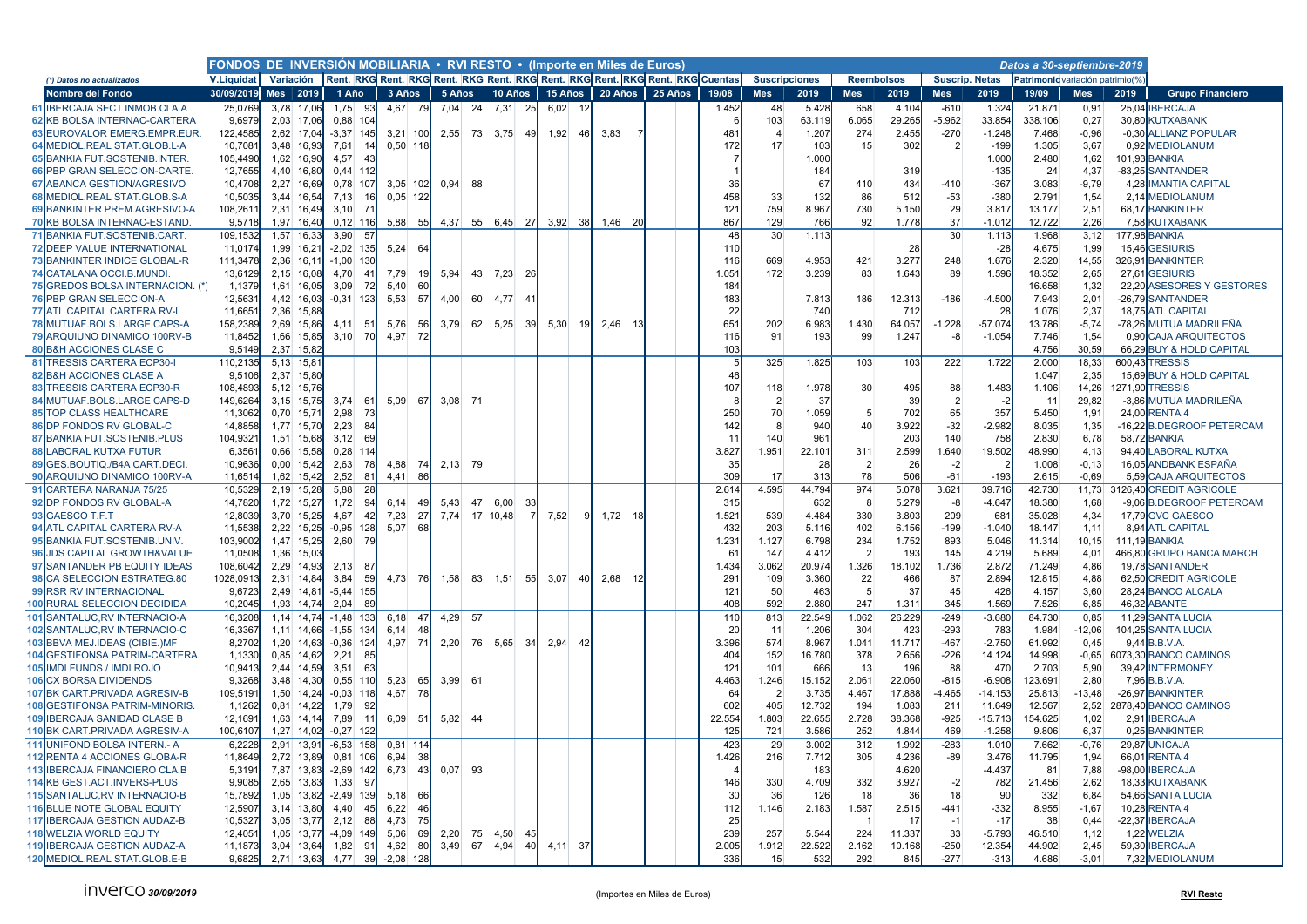|                                                          |                    | FONDOS DE INVERSIÓN MOBILIARIA • RVI RESTO • (Importe en Miles de Euros)<br>Variación Rent. RKG Rent. RKG Rent. RKG Rent. RKG Rent. RKG Rent. RKG Rent. RKG Cuentas |            |                              |              |           |                        |    |                      |    |              |    |                         |  |                 |                      |                |                   |                |                 |                       |                                 |                  |        |                                                  |
|----------------------------------------------------------|--------------------|---------------------------------------------------------------------------------------------------------------------------------------------------------------------|------------|------------------------------|--------------|-----------|------------------------|----|----------------------|----|--------------|----|-------------------------|--|-----------------|----------------------|----------------|-------------------|----------------|-----------------|-----------------------|---------------------------------|------------------|--------|--------------------------------------------------|
| (*) Datos no actualizados                                | <b>V.Liquidat</b>  |                                                                                                                                                                     |            |                              |              |           |                        |    |                      |    |              |    |                         |  |                 | <b>Suscripciones</b> |                | <b>Reembolsos</b> |                |                 | <b>Suscrip. Netas</b> | Patrimonic variación patrimio(% |                  |        |                                                  |
| Nombre del Fondo                                         | 30/09/2019         | Mes $ 2019 $                                                                                                                                                        |            | 1 Año                        | 3 Años       |           | 5 Años                 |    | 10 Años              |    |              |    | 15 Años 20 Años 25 Años |  | 19/08           | <b>Mes</b>           | 2019           | <b>Mes</b>        | 2019           | <b>Mes</b>      | 2019                  | 19/09                           | <b>Mes</b>       | 2019   | <b>Grupo Financiero</b>                          |
| <b>IBERCAJA SECT.INMOB.CLA.A</b><br>61                   | 25,0769            | 3,78 17,06                                                                                                                                                          |            | 1,75<br>-93                  | 4,67         | 79l       | 7,04<br>- 24           |    | 7,31<br><b>25</b>    |    | 6,02<br>- 12 |    |                         |  | 1.452           | 48                   | 5.428          | 658               | 4.104          | $-610$          | 1.324                 | 21.871                          | 0,91             |        | 25,04 IBERCAJA                                   |
| <b>62 KB BOLSA INTERNAC-CARTERA</b>                      | 9.6979             | 2.03 17.06                                                                                                                                                          |            | $0.88$ 104                   |              |           |                        |    |                      |    |              |    |                         |  |                 | 103                  | 63.119         | 6.065             | 29.265         | $-5.962$        | 33.854                | 338.106                         | 0,27             |        | 30.80 KUTXABANK                                  |
| 63 EUROVALOR EMERG.EMPR.EUR                              | 122,4585           | 2,62 17,04                                                                                                                                                          |            | $-3,37$ 145                  | $3.21$ 100   |           | - 73<br>2.55           |    | 3,75<br>49           |    | 1,92         | 46 | 3,83                    |  | 481             | $\overline{4}$       | 1.20           | 274               | 2.455          | $-270$          | $-1.248$              | 7.468                           | $-0.96$          |        | -0,30 ALLIANZ POPULAR                            |
| 64 MEDIOL.REAL STAT.GLOB.L-A                             | 10,7081            | 3,48 16,93                                                                                                                                                          |            | 7,61<br>14                   | $0.50$ 118   |           |                        |    |                      |    |              |    |                         |  | 172             | 17                   | 103            | 15                | 302            | $\mathfrak{p}$  | $-199$                | 1.305                           | 3,67             |        | 0.92 MEDIOLANUM                                  |
| <b>65 BANKIA FUT. SOSTENIB. INTER.</b>                   | 105.4490           | 1.62 16.90                                                                                                                                                          |            | 4.57<br>$\mathbf{A}$         |              |           |                        |    |                      |    |              |    |                         |  |                 |                      | 1.000          |                   |                |                 | 1.000                 | 2.480                           | 1.62             |        | 101.93 BANKIA                                    |
| 66 PBP GRAN SELECCION-CARTE                              | 12,7655            | 4,40 16,80                                                                                                                                                          |            | 0,44<br>112                  |              |           |                        |    |                      |    |              |    |                         |  |                 |                      | 184            |                   | 319            |                 | $-135$                | 24                              | 4,37             |        | -83,25 SANTANDER                                 |
| ABANCA GESTION/AGRESIVO<br>67                            | 10,4708            | 2,27 16,69                                                                                                                                                          |            | 0,78<br>107                  | $3,05$ 102   |           | 0,94<br>- 88           |    |                      |    |              |    |                         |  | 36              |                      | 67             | 410               | 434            | $-410$          | $-367$                | 3.083                           | $-9,79$          |        | 4,28 IMANTIA CAPITAL                             |
| 68 MEDIOL.REAL STAT.GLOB.S-A                             | 10,5035            | 3,44 16,54                                                                                                                                                          |            | 7,13                         | $0,05$ 122   |           |                        |    |                      |    |              |    |                         |  | 458             | 33                   | 132            | 86                | 512            | $-53$           | $-380$                | 2.791                           | 1,54             |        | 2,14 MEDIOLANUM                                  |
| 69 BANKINTER PREM.AGRESIVO-A                             | 108,261            | 2,31 16,49                                                                                                                                                          |            | 3,10<br>$7^{\circ}$          |              |           |                        |    |                      |    |              |    |                         |  | 121             | 759                  | 8.967          | 730               | 5.150          | 29              | 3.817                 | 13.177                          | 2,51             |        | 68,17 BANKINTER                                  |
| KB BOLSA INTERNAC-ESTAND.<br>70                          | 9,5718             | 1,97 16,40                                                                                                                                                          |            | $0,12$ 116                   |              |           | 5,88 55 4,37 55        |    | 6,45 27 3,92 38      |    |              |    | 1,46 20                 |  | 867             | 129                  | 766            | 92                | 1.778          | 37              | $-1.012$              | 12.722                          | 2,26             |        | 7,58 KUTXABANK                                   |
| <b>BANKIA FUT.SOSTENIB.CART.</b>                         | 109,1532           | 1,57 16,3                                                                                                                                                           |            | 3,90<br>5                    |              |           |                        |    |                      |    |              |    |                         |  | 48              | 30                   | 1.113          |                   |                | 30 <sup>°</sup> | 1.113                 | 1.968                           | 3,12             |        | <b>177.98 BANKIA</b>                             |
| <b>DEEP VALUE INTERNATIONAL</b><br>72                    | 11,0174            | $1.99$ 16.2                                                                                                                                                         |            | $-2,02$<br>135               | 5,24         | 64        |                        |    |                      |    |              |    |                         |  | 11(             |                      |                |                   | 28             |                 | $-28$                 | 4.675                           | 1.99             |        | 15.46 GESIURIS                                   |
| <b>73 BANKINTER INDICE GLOBAL-R</b>                      | 111,3478           | 2.36 16.1                                                                                                                                                           |            | $-1,00$<br>13 <sub>0</sub>   |              |           |                        |    |                      |    |              |    |                         |  | 116             | 669                  | 4.953          | 421               | 3.277          | 248             | 1.676                 | 2.320                           | 14.55            | 326.91 | <b>BANKINTER</b>                                 |
| 74 CATALANA OCCI.B.MUNDI.                                | 13,6129            | 2,15 16,08                                                                                                                                                          |            | 4,70<br>$\mathbf{4}$         | 7,79         | 19I       | 5,94<br>-43            |    | 7,23<br>- 26         |    |              |    |                         |  | 1.051           | 172                  | 3.239          | 83                | 1.643          | 89              | 1.596                 | 18.352                          | 2,65             |        | 27.61 GESIURIS                                   |
| 75 GREDOS BOLSA INTERNACION. (*                          | 1,1379             | 1,61 16,05                                                                                                                                                          |            | 3,09<br>-72                  | 5,40         | 60        |                        |    |                      |    |              |    |                         |  | 18 <sub>1</sub> |                      |                |                   |                |                 |                       | 16.658                          | 1,32             |        | 22,20 ASESORES Y GESTORES                        |
| <b>76 PBP GRAN SELECCION-A</b>                           | 12,563             | 4,42 16,03                                                                                                                                                          |            | $-0,31$<br>123               | 5,53         | 57        | 4,00<br>-60            |    | 4,77<br>$\mathbf{A}$ |    |              |    |                         |  | 183             |                      | 7.813          | 186               | 12.313         | $-186$          | $-4.500$              | 7.943                           | 2,01             |        | -26,79 SANTANDER                                 |
| <b>77 ATL CAPITAL CARTERA RV-L</b>                       | 11,6651            | 2,36 15,88                                                                                                                                                          |            |                              |              |           |                        |    |                      |    |              |    |                         |  | 22              |                      | 740            |                   | 712            |                 | 28                    | 1.076                           | 2,37             |        | 18,75 ATL CAPITAL                                |
| 78 MUTUAF BOLS LARGE CAPS-A                              | 158,2389           | 2,69 15,86                                                                                                                                                          |            | 4,11<br>-51                  | 5,76         | 56        | 3,79<br>62             |    | 5,25<br>-391         |    | 5,30<br>19   |    | 2,46                    |  | $65^{\circ}$    | 202                  | 6.983          | 1.430             | 64.057         | $-1.228$        | $-57.074$             | 13.786                          | $-5,74$          |        | -78,26 MUTUA MADRILEÑA                           |
| 79 ARQUIUNO DINAMICO 100RV-B                             | 11,8452            | 1,66 15,85                                                                                                                                                          |            | 3,10<br>70                   | 4,97         | -72       |                        |    |                      |    |              |    |                         |  | 116             | 91                   | 193            | 99                | 1.247          | $-8$            | $-1.054$              | 7.746                           | 1,54             |        | 0,90 CAJA ARQUITECTOS                            |
| <b>80 B&amp;H ACCIONES CLASE C</b>                       | 9,5149             | 2,37 15,82                                                                                                                                                          |            |                              |              |           |                        |    |                      |    |              |    |                         |  | 103             |                      |                |                   |                |                 |                       | 4.756                           | 30,59            |        | 66,29 BUY & HOLD CAPITAL                         |
| 81<br><b>TRESSIS CARTERA ECP30-I</b>                     | 110,2135           | $5,13$ 15,8                                                                                                                                                         |            |                              |              |           |                        |    |                      |    |              |    |                         |  |                 | 325                  | 1.825          | 103               | 103            | 222             | 1.722                 | 2.000                           | 18,33            |        | 600.43 TRESSIS                                   |
| <b>82 B&amp;H ACCIONES CLASE A</b>                       | 9.5106             | 2.37 15.80                                                                                                                                                          |            |                              |              |           |                        |    |                      |    |              |    |                         |  | 46              |                      |                |                   |                |                 |                       | 1.047                           | 2.35             |        | 15.69 BUY & HOLD CAPITAL                         |
| 83 TRESSIS CARTERA ECP30-R                               | 108,4893           | 5,12 15,76                                                                                                                                                          |            |                              |              |           |                        |    |                      |    |              |    |                         |  | 107             | 118                  | 1.978          | 30                | 495            | 88              | 1.483                 | 1.106                           | 14,26            |        | 271,90 TRESSIS                                   |
| MUTUAF.BOLS.LARGE CAPS-D<br>84                           | 149,6264           | 3,15 15,75                                                                                                                                                          |            | 3,74<br>-61                  | $5,09$ 67    |           | 3,08<br>$\overline{7}$ |    |                      |    |              |    |                         |  |                 | $\overline{2}$       | -37            |                   | 39             | $\mathcal{P}$   |                       | 11                              | 29,82            |        | -3,86 MUTUA MADRILEÑA                            |
| <b>85 TOP CLASS HEALTHCARE</b>                           | 11,3062            | $0,70$ 15,7                                                                                                                                                         |            | 2,98<br>73                   |              |           |                        |    |                      |    |              |    |                         |  | 250             | 70                   | 1.059          | 5                 | 702            | 65              | 357                   | 5.450                           | 1,91             |        | 24,00 RENTA 4                                    |
| 86 DP FONDOS RV GLOBAL-C                                 | 14,8858            | 1,77 15,70                                                                                                                                                          |            | 2,23<br>84                   |              |           |                        |    |                      |    |              |    |                         |  | 142             | 8                    | 940            | 40                | 3.922          | $-32$           | $-2.982$              | 8.035                           | 1,35             |        | -16,22 B.DEGROOF PETERCAM                        |
| 87 BANKIA FUT.SOSTENIB.PLUS                              | 104,932            |                                                                                                                                                                     | 1,51 15,68 | 69<br>3,12                   |              |           |                        |    |                      |    |              |    |                         |  | 11              | 140                  | 961            |                   | 203            | 140             | 758                   | 2.830                           | 6,78             |        | 58,72 BANKIA                                     |
| <b>88 LABORAL KUTXA FUTUR</b>                            | 6,356'             | 0.66 15,58                                                                                                                                                          |            | 0,28<br>114                  |              |           |                        |    |                      |    |              |    |                         |  | 3.827           | 1.951                | 22.10'         | 311               | 2.599          | 1.640           | 19.502                | 48.990                          | 4,13             |        | 94,40 LABORAL KUTXA                              |
| 89 GES.BOUTIQ./B4A CART.DECI.                            | 10,9636            | $0,00$ 15,42                                                                                                                                                        |            | 2,63<br>-78                  | 4,88         | 74        | 2,13 79                |    |                      |    |              |    |                         |  | 35<br>309       | 17                   | -28<br>313     | $\overline{2}$    | 26<br>506      | $-2$<br>$-61$   |                       | 1.008                           | $-0,13$          |        | 16,05 ANDBANK ESPAÑA                             |
| <b>ARQUIUNO DINAMICO 100RV-A</b><br>90<br>Q <sub>1</sub> | 11,6514            | 1,62 15,42                                                                                                                                                          |            | 2.52<br>81<br>28             | 4,41         | 86        |                        |    |                      |    |              |    |                         |  |                 | 4.595                | 44.794         | 78<br>974         |                |                 | $-193$<br>39.716      | 2.615<br>42.730                 | $-0.69$<br>11.73 |        | 5.59 CAJA ARQUITECTOS<br>3126.40 CREDIT AGRICOLE |
| CARTERA NARANJA 75/25                                    | 10,5329            | 2,19 15,28                                                                                                                                                          |            | 5,88<br>94                   |              | 49        | 47                     |    | 33                   |    |              |    |                         |  | 2.614           |                      |                | 8                 | 5.078          | 3.621           |                       |                                 |                  |        |                                                  |
| 92 DP FONDOS RV GLOBAL-A                                 | 14,7820            | 1,72 15,27                                                                                                                                                          |            | 1,72                         | 6,14         |           | 5,43                   |    | 6,00                 |    |              | ٩  |                         |  | 315             |                      | 632            |                   | 5.279          | -8              | $-4.647$              | 18.380                          | 1,68             |        | -9,06 B.DEGROOF PETERCAM                         |
| 93 GAESCO T.F.T<br>94 ATL CAPITAL CARTERA RV-A           | 12,8039<br>11,5538 | 3,70 15,25<br>2,22 15,25                                                                                                                                            |            | 4,67<br>42<br>$-0.95$<br>128 | 7,23<br>5,07 | 27<br>68  | 7,74                   | 17 | 10,48                |    | 7,52         |    | $1,72$ 1                |  | 1.521<br>432    | 539<br>203           | 4.484<br>5.116 | 330<br>402        | 3.803<br>6.156 | 209<br>$-199$   | 681<br>$-1.040$       | 35.028<br>18.147                | 4,34<br>1,11     |        | 17,79 GVC GAESCO<br>8,94 ATL CAPITAL             |
| 95 BANKIA FUT.SOSTENIB.UNIV.                             | 103,9002           | 1,47 15,25                                                                                                                                                          |            | 2,60<br>-79                  |              |           |                        |    |                      |    |              |    |                         |  | 1.23            | 1.127                | 6.798          | 234               | 1.752          | 893             | 5.046                 | 11.314                          | 10, 15           |        | <b>111.19 BANKIA</b>                             |
| <b>JDS CAPITAL GROWTH&amp;VALUE</b><br>96                | 11,0508            | 1,36 15,03                                                                                                                                                          |            |                              |              |           |                        |    |                      |    |              |    |                         |  | 61              | 147                  | 4.412          | $\overline{2}$    | 193            | 145             | 4.219                 | 5.689                           | 4,01             |        | 466,80 GRUPO BANCA MARCH                         |
| 97 SANTANDER PB EQUITY IDEAS                             | 108,6042           | 2,29 14,93                                                                                                                                                          |            | 2,13<br>87                   |              |           |                        |    |                      |    |              |    |                         |  | 1.434           | 3.062                | 20.974         | 1.326             | 18.102         | 1.736           | 2.872                 | 71.249                          | 4,86             |        | 19.78 SANTANDER                                  |
| 98 CA SELECCION ESTRATEG.80                              | 1028,0913          | 2,31 14,84                                                                                                                                                          |            | 3,84<br>59                   | 4,73 76      |           | 1,58<br>83             |    | 1,51                 | 55 | 3,07<br>40   |    | 2,68                    |  | 29 <sup>°</sup> | 109                  | 3.360          | 22 <sub>2</sub>   | 466            | 87              | 2.894                 | 12.815                          | 4,88             |        | 62,50 CREDIT AGRICOLE                            |
| 99 RSR RV INTERNACIONAL                                  | 9,6723             | 2,49 14,81                                                                                                                                                          |            | $-5,44$<br>155               |              |           |                        |    |                      |    |              |    |                         |  | 121             | 50                   | 463            | 5 <sup>1</sup>    | 37             | 45              | 426                   | 4.157                           | 3,60             |        | 28,24 BANCO ALCALA                               |
| 100 RURAL SELECCION DECIDIDA                             | 10,2045            | 1,93 14,74                                                                                                                                                          |            | 2,04<br>89                   |              |           |                        |    |                      |    |              |    |                         |  | 408             | 592                  | 2.880          | 247               | 1.311          | 345             | 1.569                 | 7.526                           | 6.85             |        | 46,32 ABANTE                                     |
| SANTALUC, RV INTERNACIO-A<br>101                         | 16,3208            | $1,14$ 14,74                                                                                                                                                        |            | $-1,48$<br>133               | 6,18         | 47        | 4,29<br>-57            |    |                      |    |              |    |                         |  | 11(             | 813                  | 22.549         | 1.062             | 26.229         | $-249$          | $-3.680$              | 84.730                          | 0,85             |        | 11,29 SANTA LUCIA                                |
| 102 SANTALUC,RV INTERNACIO-C                             | 16,3367            | 1,11 14,66                                                                                                                                                          |            | $-1,55$<br>134               | 6,14         | 48        |                        |    |                      |    |              |    |                         |  | 20              | 11                   | 1.206          | 304               | 423            | $-293$          | 783                   | 1.984                           | $-12,06$         |        | 104,25 SANTA LUCIA                               |
| 103 BBVA MEJ.IDEAS (CIBIE.)MF                            | 8,2702             | 1,20 14,63                                                                                                                                                          |            | $-0,36$<br>124               | 4,97 71      |           | 2,20<br>- 76           |    | 5,65<br>-34 <b>J</b> |    | 2,94<br>42   |    |                         |  | 3.396           | 574                  | 8.967          | 1.041             | 11.717         | $-467$          | $-2.750$              | 61.992                          | 0,45             |        | $9,44$ B.B.V.A.                                  |
| <b>GESTIFONSA PATRIM-CARTERA</b>                         | 1,1330             | 0,85 14,62                                                                                                                                                          |            | 2,21<br>-85                  |              |           |                        |    |                      |    |              |    |                         |  | 404             | 152                  | 16.780         | 378               | 2.656          | $-226$          | 14.124                | 14.998                          | $-0.65$          |        | 6073,30 BANCO CAMINOS                            |
| 05 IMDI FUNDS / IMDI ROJO                                | 10,9413            | 2,44 14,59                                                                                                                                                          |            | 3,51<br>63                   |              |           |                        |    |                      |    |              |    |                         |  | 121             | 101                  | 666            | 13                | 196            | 88              | 470                   | 2.703                           | 5,90             |        | 39,42 INTERMONEY                                 |
| <b>06 CX BORSA DIVIDENDS</b>                             | 9,3268             | 3,48 14,30                                                                                                                                                          |            | 0,55<br>11(                  | 5,23         | 65        | 3,99<br>61             |    |                      |    |              |    |                         |  | 4.463           | 1.246                | 15.152         | 2.061             | 22.060         | $-815$          | $-6.908$              | 123.691                         | 2,80             |        | 7,96 B.B.V.A.                                    |
| 107 BK CART.PRIVADA AGRESIV-B                            | 109,5191           | 1,50 14,24                                                                                                                                                          |            | $-0.03$<br>118               | 4,67         | <b>78</b> |                        |    |                      |    |              |    |                         |  | 64              | $\overline{2}$       | 3.735          | 4.467             | 17.888         | $-4.465$        | $-14.153$             | 25.813                          | $-13,48$         |        | -26.97 BANKINTER                                 |
| <b>108 GESTIFONSA PATRIM-MINORIS.</b>                    | 1,1262             | 0,81 14,22                                                                                                                                                          |            | 1,79<br>92                   |              |           |                        |    |                      |    |              |    |                         |  | 602             | 405                  | 12.732         | 194               | 1.083          | 211             | 11.649                | 12.567                          | 2.52             |        | 2878,40 BANCO CAMINOS                            |
| 109 IBERCAJA SANIDAD CLASE B                             | 12,1691            | 1,63 14,14                                                                                                                                                          |            | 7,89<br>$\cdot$ 1            | $6,09$ 51    |           | 5,82<br>- 44           |    |                      |    |              |    |                         |  | 22.554          | 1.803                | 22.655         | 2.728             | 38.368         | $-925$          | $-15.713$             | 154.625                         | 1,02             |        | 2,91 IBERCAJA                                    |
| <b>OBK CART.PRIVADA AGRESIV-A</b>                        | 100.6107           | 1.27 14.02                                                                                                                                                          |            | $-0.27$ 122                  |              |           |                        |    |                      |    |              |    |                         |  | 125             | 721                  | 3.586          | 252               | 4.844          | 469             | $-1.258$              | 9.806                           | 6.37             |        | 0.25 BANKINTER                                   |
| UNIFOND BOLSA INTERN.- A                                 | 6,2228             | $2,91$ 13,9                                                                                                                                                         |            | $-6,53$<br>158               | $0,81$ 114   |           |                        |    |                      |    |              |    |                         |  | 423             | 29                   | 3.002          | 312               | 1.992          | $-283$          | 1.010                 | 7.662                           | $-0,76$          | 29.87  | <b>UNICAJA</b>                                   |
| <b>RENTA 4 ACCIONES GLOBA-R</b>                          | 11,8649            | 2,72 13,89                                                                                                                                                          |            | 0,81<br>106                  | 6,94         | 38        |                        |    |                      |    |              |    |                         |  | 1.426           | 216                  | 7.712          | 305               | 4.236          | $-89$           | 3.476                 | 11.795                          | 1,94             | 66,01  | <b>RENTA4</b>                                    |
| <b>IBERCAJA FINANCIERO CLA.B</b>                         | 5,3191             | 7,87 13,83                                                                                                                                                          |            | $-2,69$ 142                  | 6,73         | 43        | 0,07<br>-93            |    |                      |    |              |    |                         |  |                 |                      | 183            |                   | 4.620          |                 | $-4.437$              | 81                              | 7,88             |        | -98,00 IBERCAJA                                  |
| <b>4 KB GEST.ACT.INVERS-PLUS</b>                         | 9,9085             | 2,65 13,83                                                                                                                                                          |            | 1,33<br>-97                  |              |           |                        |    |                      |    |              |    |                         |  | 146             | 330                  | 4.709          | 332               | 3.927          | $-2$            | 782                   | 21.456                          | 2,62             |        | 18.33 KUTXABANK                                  |
| SANTALUC, RV INTERNACIO-B                                | 15,7892            | 1,05 13,82                                                                                                                                                          |            | $-2,49$ 139                  | 5,18         | 66        |                        |    |                      |    |              |    |                         |  | 30              | 36                   | 126            | 18                | 36             | 18              | 90                    | 332                             | 6,84             | 54.66  | <b>SANTA LUCIA</b>                               |
| <b>6 BLUE NOTE GLOBAL EQUITY</b>                         | 12,5907            | 3,14 13,80                                                                                                                                                          |            | 4,40<br>4 <sup>5</sup>       | 6,22         | 46        |                        |    |                      |    |              |    |                         |  | 112             | 1.146                | 2.183          | 1.587             | 2.515          | $-441$          | $-332$                | 8.955                           | $-1,67$          |        | 10,28 RENTA 4                                    |
| <b>IBERCAJA GESTION AUDAZ-B</b>                          | 10,5327            | 3.05 13.77                                                                                                                                                          |            | 2,12<br>-88                  | 4.73         | 75        |                        |    |                      |    |              |    |                         |  | 25              |                      |                |                   | 17             | $-1$            | $-17$                 | 38                              | 0.44             |        | -22.37 IBERCAJA                                  |
| <b>WELZIA WORLD EQUITY</b>                               | 12,405             | 1.05 13.77                                                                                                                                                          |            | $-4,09$<br>149               | 5.06         | -69       | 2.20<br>-75            |    | 4,50<br>45           |    |              |    |                         |  | 239             | 257                  | 5.544          | 224               | 11.337         | 33              | $-5.793$              | 46.510                          | 1.12             | 1.22   | <b>WELZIA</b>                                    |
| <b>19 IBERCAJA GESTION AUDAZ-A</b>                       | 11,1873            | 3,04 13,64                                                                                                                                                          |            | 1,82<br>91                   | 4,62         | 80l       | 3,49 67                |    | 4,94<br>40           |    | 4,11 37      |    |                         |  | 2.005           | 1.912                | 22.522         | 2.162             | 10.168         | $-250$          | 12.354                | 44.902                          | 2,45             |        | 59,30 IBERCAJA                                   |
| 120 MEDIOL.REAL STAT.GLOB.E-B                            | 9,6825             |                                                                                                                                                                     | 2,71 13,63 | 4,77 39                      | $-2.08$ 128  |           |                        |    |                      |    |              |    |                         |  | 336             | 15                   | 532            | 292               | 845            | $-277$          | $-313$                | 4.686                           | $-3.01$          |        | 7,32 MEDIOLANUM                                  |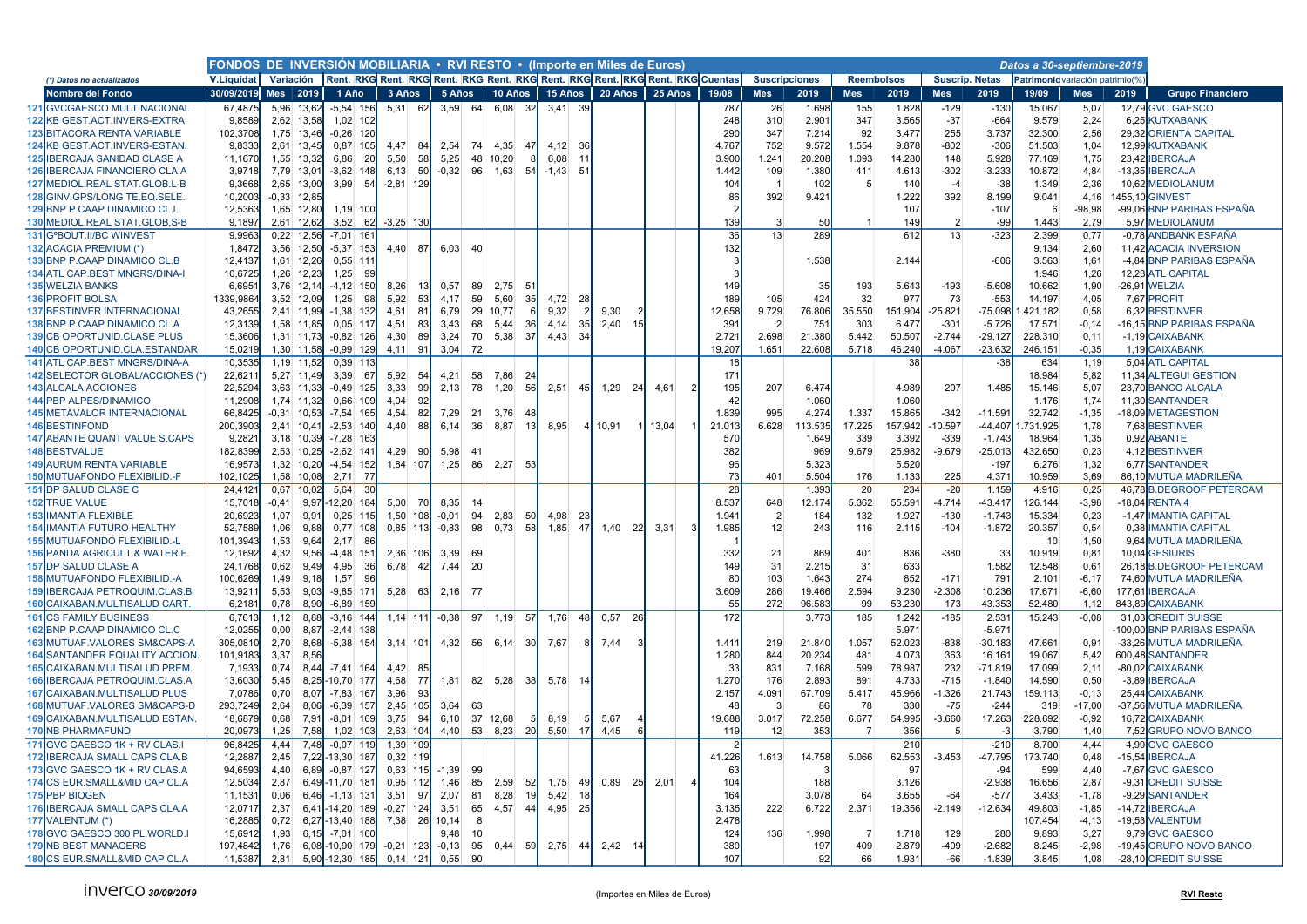|                                                               | FONDOS DE INVERSION MOBILIARIA . RVI RESTO . (Importe en Miles de Euros)<br>Datos a 30-septiembre-2019<br>Variación Rent. RKG Rent. RKG Rent. RKG Rent. RKG Rent. RKG Rent. RKG Rent. RKG Cuentas |              |                          |                                         |      |              |         |           |           |                 |           |     |                |           |                 |                      |         |                   |                |                       |                      |                                 |              |      |                                                    |
|---------------------------------------------------------------|---------------------------------------------------------------------------------------------------------------------------------------------------------------------------------------------------|--------------|--------------------------|-----------------------------------------|------|--------------|---------|-----------|-----------|-----------------|-----------|-----|----------------|-----------|-----------------|----------------------|---------|-------------------|----------------|-----------------------|----------------------|---------------------------------|--------------|------|----------------------------------------------------|
| (*) Datos no actualizados                                     | V.Liquidat                                                                                                                                                                                        |              |                          |                                         |      |              |         |           |           |                 |           |     |                |           |                 | <b>Suscripciones</b> |         | <b>Reembolsos</b> |                | <b>Suscrip. Netas</b> |                      | Patrimonic variación patrimio(% |              |      |                                                    |
| Nombre del Fondo                                              | 30/09/2019                                                                                                                                                                                        |              | Mes   2019               | 1 Año                                   |      | 3 Años       |         | 5 Años    | 10 Años   |                 | 15 Años   |     | 20 Años        | 25 Años   | 19/08           | <b>Mes</b>           | 2019    | <b>Mes</b>        | 2019           | <b>Mes</b>            | 2019                 | 19/09                           | <b>Mes</b>   | 2019 | <b>Grupo Financiero</b>                            |
| 121 GVCGAESCO MULTINACIONAL                                   | 67,4875                                                                                                                                                                                           |              | 5.96 13.62               | $-5,54$ 156                             |      | $5,31$ 62    |         | $3,59$ 64 | 6,08      | -32I            | 3,41      | 39  |                |           | 787             | 26                   | 1.698   | 155               | 1.828          | $-129$                | $-130$               | 15.067                          | 5,07         |      | 12,79 GVC GAESCO                                   |
| 122 KB GEST.ACT.INVERS-EXTRA                                  | 9,8589                                                                                                                                                                                            |              | 2,62 13,58               | 1,02 102                                |      |              |         |           |           |                 |           |     |                |           | 248             | 310                  | 2.901   | 347               | 3.565          | $-37$                 | $-664$               | 9.579                           | 2,24         |      | 6,25 KUTXABANK                                     |
| 123 BITACORA RENTA VARIABLE                                   | 102,3708                                                                                                                                                                                          |              | 1,75 13,46               | $-0,26$ 120                             |      |              |         |           |           |                 |           |     |                |           | 290             | 347                  | 7.214   | 92                | 3.477          | 255                   | 3.737                | 32.300                          | 2,56         |      | 29.32 ORIENTA CAPITAL                              |
| 124 KB GEST.ACT.INVERS-ESTAN                                  | 9,8333                                                                                                                                                                                            |              | 2,61 13,45               | 0,87 105                                |      | 4,47<br>-84  | 2,54    | 74I       | 4,35      | 47              | 4,12      | -36 |                |           | 4.767           | 752                  | 9.572   | 1.554             | 9.878          | $-802$                | $-306$               | 51.503                          | 1,04         |      | 12,99 KUTXABANK                                    |
| <b>125 IBERCAJA SANIDAD CLASE A</b>                           | 11,1670                                                                                                                                                                                           |              | 1,55 13,32               | 6,86                                    | 20   | 5,50<br>58   | 5,25    | 48        | 10,20     | 8               | 6,08      | 11  |                |           | 3.900           | 1.241                | 20.208  | 1.093             | 14.280         | 148                   | 5.928                | 77.169                          | 1,75         |      | 23,42 IBERCAJA                                     |
| 126 IBERCAJA FINANCIERO CLA.A                                 | 3,9718                                                                                                                                                                                            |              | 7,79 13,01               | $-3,62$ 148                             |      | 50<br>6,13   | $-0.32$ | 96        | 1,63      | 54              | $-1,43$   | 51  |                |           | 1.442           | 109                  | 1.380   | 411               | 4.613          | $-302$                | $-3.233$             | 10.872                          | 4,84         |      | -13,35 IBERCAJA                                    |
| 127 MEDIOL.REAL STAT.GLOB.L-B                                 | 9,3668                                                                                                                                                                                            |              | 2,65 13,00               | 3,99                                    | 54   | $-2,81$ 129  |         |           |           |                 |           |     |                |           | 10 <sup>2</sup> | $\overline{1}$       | 102     |                   | 140            | $-4$                  | $-38$                | 1.349                           | 2,36         |      | 10,62 MEDIOLANUM                                   |
| 128 GINV.GPS/LONG TE.EQ.SELE.                                 | 10,2003                                                                                                                                                                                           |              | $-0.33$ 12,85            |                                         |      |              |         |           |           |                 |           |     |                |           | 86              | 392                  | 9.421   |                   | 1.222          | 392                   | 8.199                | 9.041                           | 4,16         |      | 1455,10 GINVEST                                    |
| 129 BNP P.CAAP DINAMICO CL.L                                  | 12,5363                                                                                                                                                                                           |              | 1,65 12,80               | 1,19 100                                |      |              |         |           |           |                 |           |     |                |           |                 |                      |         |                   | 107            |                       | $-107$               | -6                              | $-98,98$     |      | -99,06 BNP PARIBAS ESPAÑA                          |
| 130 MEDIOL.REAL STAT.GLOB.S-B                                 | 9,1897                                                                                                                                                                                            |              | 2,61 12,62               | 3,52                                    | 62   | $-3,25$ 130  |         |           |           |                 |           |     |                |           | 139             | 3                    | 50      |                   | 149            | $\overline{2}$        | $-99$                | 1.443                           | 2,79         |      | 5,97 MEDIOLANUM                                    |
| 131 GºBOUT.II/BC WINVEST                                      | 9,9963                                                                                                                                                                                            |              | $0,22$ 12,56             | $-7,01$ 161                             |      |              |         |           |           |                 |           |     |                |           | 36              | 13                   | 289     |                   | 612            | 13                    | $-323$               | 2.399                           | 0,77         |      | -0,78 ANDBANK ESPAÑA                               |
| 132 ACACIA PREMIUM (*)                                        | 1,8472                                                                                                                                                                                            |              | 3,56 12,50               | $-5,37$ 153                             |      | 4,40 87      |         | 6,03 40   |           |                 |           |     |                |           | 132             |                      |         |                   |                |                       |                      | 9.134                           | 2,60         |      | 11,42 ACACIA INVERSION<br>-4.84 BNP PARIBAS ESPAÑA |
| 133 BNP P.CAAP DINAMICO CL.B<br>134 ATL CAP.BEST MNGRS/DINA-I | 12,4137<br>10,6725                                                                                                                                                                                |              | 1,61 12,26<br>1,26 12,23 | $0,55$ 111<br>1,25                      | 99   |              |         |           |           |                 |           |     |                |           |                 |                      | 1.538   |                   | 2.144          |                       | $-606$               | 3.563<br>1.946                  | 1,61<br>1,26 |      | 12,23 ATL CAPITAL                                  |
| <b>135 WELZIA BANKS</b>                                       | 6,6951                                                                                                                                                                                            |              | 3,76 12,14               | $-4,12$ 150                             |      | 8,26<br>-13  | 0,57    | -891      | 2,75      | 51              |           |     |                |           | 149             |                      | 35      | 193               | 5.643          | $-193$                | $-5.608$             | 10.662                          | 1,90         |      | $-26,91$ WELZIA                                    |
| <b>136 PROFIT BOLSA</b>                                       | 1339,9864                                                                                                                                                                                         |              | 3,52 12,09               | 1,25                                    | 98   | 5,92<br>53   | 4,17    | 59        | 5,60      | 35              | 4,72      | 28  |                |           | 189             | 105                  | 424     | 32                | 977            | 73                    | $-553$               | 14.197                          | 4,05         |      | 7,67 PROFIT                                        |
| <b>137 BESTINVER INTERNACIONAL</b>                            | 43,2655                                                                                                                                                                                           |              | 2,41 11,99               | $-1,38$                                 | 132  | 4,61<br>81   | 6,79    | 29        | 10,77     |                 | 9,32      |     | 9,30           |           | 12.658          | 9.729                | 76.806  | 35.550            | 151.904        | $-25.821$             | $-75.098$            | .421.182                        | 0,58         |      | 6,32 BESTINVER                                     |
| 138 BNP P.CAAP DINAMICO CL.A                                  | 12,3139                                                                                                                                                                                           |              | 1,58 11,85               | $0,05$ 117                              |      | 4,51<br>83   | 3,43    | 68        | 5,44      | 36              | 4,14      | 35  | 2,40<br>15     |           | 391             | $\overline{2}$       | 751     | 303               | 6.477          | $-301$                | $-5.726$             | 17.571                          | $-0,14$      |      | -16,15 BNP PARIBAS ESPAÑA                          |
| <b>139 CB OPORTUNID.CLASE PLUS</b>                            | 15,3606                                                                                                                                                                                           |              | 1,31 11,73               | $-0,82$ 126                             |      | 4,30<br>89   | 3,24    | 70        | 5,38      | 37              | 4,43      | 34  |                |           | 2.72            | 2.698                | 21.380  | 5.442             | 50.507         | $-2.744$              | $-29.127$            | 228.310                         | 0,11         |      | -1,19 CAIXABANK                                    |
| 140 CB OPORTUNID.CLA.ESTANDAR                                 | 15,0219                                                                                                                                                                                           |              | 1,30 11,58               | $-0,99$ 129                             |      | 4,11<br>91   | 3,04    | -72       |           |                 |           |     |                |           | 19.207          | 1.651                | 22.608  | 5.718             | 46.240         | $-4.067$              | $-23.632$            | 246.151                         | $-0,35$      |      | 1,19 CAIXABANK                                     |
| <b>141 ATL CAP.BEST MNGRS/DINA-A</b>                          | 10,3535                                                                                                                                                                                           |              | 1,19 11,52               | $0,39$ 113                              |      |              |         |           |           |                 |           |     |                |           | 18              |                      |         |                   |                |                       | $-38$                | 634                             | 1,19         |      | 5.04 ATL CAPITAL                                   |
| 142 SELECTOR GLOBAL/ACCIONES (*)                              | 22,6211                                                                                                                                                                                           |              | 5,27 11,49               | 3,39                                    | 67   | 5,92<br>-54  | 4,21    | 58        | 7,86      | 24              |           |     |                |           | 171             |                      |         |                   |                |                       |                      | 18.984                          | 5,82         |      | 11,34 ALTEGUI GESTION                              |
| <b>143 ALCALA ACCIONES</b>                                    | 22,5294                                                                                                                                                                                           |              | 3,63 11,33               | $-0.49$ 125                             |      | 3,33<br>99   | 2,13    | - 78I     | 1,20      | 56              | 2,51      | 45  | 1,29<br>- 241  | 4,61      | 195             | 207                  | 6.474   |                   | 4.989          | 207                   | 1.485                | 15.146                          | 5,07         |      | 23,70 BANCO ALCALA                                 |
| <b>144 PBP ALPES/DINAMICO</b>                                 | 11,2908                                                                                                                                                                                           |              | 1,74 11,32               | $0,66$ 109                              |      | 4,04<br>-92  |         |           |           |                 |           |     |                |           | 42              |                      | 1.060   |                   | 1.060          |                       |                      | 1.176                           | 1,74         |      | 11,30 SANTANDER                                    |
| <b>145 METAVALOR INTERNACIONAL</b>                            | 66,8425                                                                                                                                                                                           |              | -0.31 10.53              | $-7,54$                                 | 165  | 4,54<br>82   | 7,29    | -21       | 3,76      | 4۶              |           |     |                |           | 1.839           | 995                  | 4.274   | 1.337             | 15.865         | $-342$                | $-11.59'$            | 32.742                          | $-1,35$      |      | -18,09 METAGESTION                                 |
| 146 BESTINFOND                                                | 200,3903                                                                                                                                                                                          |              | 2,41 10,41               | $-2,53$ 140                             |      | 4,40<br>88   | 6,14    | <b>36</b> | 8,87      | -13             | 8,95      |     | 10,91          | $1$ 13,04 | 21.013          | 6.628                | 113.535 | 17.225            | 157.942        | $-10.597$             | $-44.407$            | .731.925                        | 1,78         |      | 7.68 BESTINVER                                     |
| <b>ABANTE QUANT VALUE S.CAPS</b><br>147                       | 9,2821                                                                                                                                                                                            |              | 3,18 10,39               | $-7,28$ 163                             |      |              |         |           |           |                 |           |     |                |           | 570             |                      | 1.649   | 339               | 3.392          | $-339$                | $-1.743$             | 18.964                          | 1,35         |      | 0,92 ABANTE                                        |
| 148 BESTVALUE                                                 | 182,8399                                                                                                                                                                                          |              | 2,53 10,25               | $-2,62$ 141                             |      | 4,29<br>- 90 | 5,98    | 4         |           |                 |           |     |                |           | 382             |                      | 969     | 9.679             | 25.982         | $-9.679$              | $-25.013$            | 432.650                         | 0,23         |      | 4,12 BESTINVER                                     |
| <b>149 AURUM RENTA VARIABLE</b>                               | 16,9573                                                                                                                                                                                           |              | 1,32 10,20               | $-4,54$                                 | 152  | 1,84 107     | 1,25    | 86        | 2,27      | 53              |           |     |                |           | 96              |                      | 5.323   |                   | 5.520          |                       | $-197$               | 6.276                           | 1,32         |      | 6,77 SANTANDER                                     |
| <b>150 MUTUAFONDO FLEXIBILID.-F</b>                           | 102,1025                                                                                                                                                                                          |              | 1,58 10,08               | 2,71                                    | - 77 |              |         |           |           |                 |           |     |                |           | 73              | 401                  | 5.504   | 176               | 1.133          | 225                   | 4.37                 | 10.959                          | 3,69         |      | 86,10 MUTUA MADRILEÑA                              |
| <b>151 DP SALUD CLASE C</b>                                   | 24,4121                                                                                                                                                                                           |              | $0,67$ 10,02             | 5,64                                    | -30  |              |         |           |           |                 |           |     |                |           | 28              |                      | 1.393   | 20                | 234            | $-20$                 | 1.159                | 4.916                           | 0,25         |      | 46,78 B.DEGROOF PETERCAM                           |
| <b>152 TRUE VALUE</b>                                         | 15,7018                                                                                                                                                                                           | -0.41        | 9,97                     | $-12,20$ 184                            |      | 5,00<br>- 70 | 8,35    |           |           |                 |           |     |                |           | 8.537           | 648                  | 12.174  | 5.362             | 55.591         | $-4.714$              | -43.417              | 126.144                         | $-3,98$      |      | $-18,04$ RENTA 4                                   |
| <b>153 IMANTIA FLEXIBLE</b>                                   | 20,6923                                                                                                                                                                                           | 1,07         | 9,91                     | $0,25$ 115                              |      | 1,50 108     | $-0.01$ | 94        | 2,83      | 50              | 4,98      | -23 |                |           | 1.941           | $\overline{2}$       | 184     | 132               | 1.927          | $-130$                | $-1.743$             | 15.334                          | 0,23         |      | -1,47 IMANTIA CAPITAL                              |
| <b>154 IMANTIA FUTURO HEALTHY</b>                             | 52,7589                                                                                                                                                                                           | 1,06         | 9,88                     | $0,77$ 108                              |      | $0,85$ 113   | $-0,83$ | -98       | 0,73      | 58              | 1,85      | 47  | $1,40$ 22      | 3,31      | 1.985           | 12                   | 243     | 116               | 2.115          | $-104$                | $-1.872$             | 20.357                          | 0,54         |      | 0,38 IMANTIA CAPITAL                               |
| <b>155 MUTUAFONDO FLEXIBILID.-L</b>                           | 101,3943                                                                                                                                                                                          | 1,53         | 9,64                     | 2,17                                    | 86   |              |         |           |           |                 |           |     |                |           |                 |                      |         |                   |                |                       |                      | 10                              | 1,50         |      | 9,64 MUTUA MADRILEÑA                               |
| 156 PANDA AGRICULT.& WATER F.                                 | 12,1692                                                                                                                                                                                           | 4,32         | 9,56                     | $-4,48$                                 | 151  | 2,36 106     | 3,39    | 69        |           |                 |           |     |                |           | 332             | 21                   | 869     | 401               | 836            | $-380$                | 33                   | 10.919                          | 0,81         |      | 10,04 GESIURIS                                     |
| <b>157 DP SALUD CLASE A</b>                                   | 24,1768                                                                                                                                                                                           | 0,62         | 9.49                     | 4,95                                    | 36   | 6,78<br>42   | 7,44    | 20        |           |                 |           |     |                |           | 149             | 31                   | 2.215   | 31                | 633            |                       | 1.582                | 12.548                          | 0,61         |      | 26,18 B.DEGROOF PETERCAM                           |
| <b>158 MUTUAFONDO FLEXIBILID.-A</b>                           | 100,6269                                                                                                                                                                                          | 1,49         | 9,18                     | 1,57                                    | 96   |              |         |           |           |                 |           |     |                |           | 80              | 103                  | 1.643   | 274               | 852            | $-171$                | 791                  | 2.101                           | $-6,17$      |      | 74,60 MUTUA MADRILEÑA                              |
| <b>159 IBERCAJA PETROQUIM.CLAS.B</b>                          | 13,9211                                                                                                                                                                                           | 5,53         | 9,03                     | $-9,85$ 171                             |      | 5,28<br>- 63 |         | 2,16 77   |           |                 |           |     |                |           | 3.609<br>55     | 286                  | 19.466  | 2.594             | 9.230          | $-2.308$              | 10.236               | 17.671                          | $-6,60$      |      | 177,61 IBERCAJA                                    |
| <b>160 CAIXABAN.MULTISALUD CART</b>                           | 6,218'                                                                                                                                                                                            | 0,78         | 8,90                     | $-6,89$                                 | 159  |              |         |           |           |                 |           |     |                |           | 172             | 272                  | 96.583  | 99                | 53.230         | 173                   | 43.35                | 52.480                          | 1,12         |      | 843,89 CAIXABANK                                   |
| <b>161 CS FAMILY BUSINESS</b><br>162 BNP P.CAAP DINAMICO CL.C | 6,7613<br>12,0255                                                                                                                                                                                 | 1,12<br>0,00 | 8,88                     | $-3,16$ 144                             |      | 1,14 111     | $-0.38$ | -97       | 1,19      | 57              | 1,76      | 48  | 0,57<br>-26    |           |                 |                      | 3.773   | 185               | 1.242          | $-185$                | 2.53                 | 15.243                          | $-0.08$      |      | 31,03 CREDIT SUISSE<br>-100,00 BNP PARIBAS ESPAÑA  |
| <b>163 MUTUAF.VALORES SM&amp;CAPS-A</b>                       | 305,0810                                                                                                                                                                                          | 2,70         | 8,87<br>8,68             | $-2,44$ 138<br>$-5,38$ 154              |      | $3,14$ 101   |         | 4,32 56   | 6,14      | -30             | 7,67      |     | 7,44           |           | 1.41            | 219                  | 21.840  | 1.057             | 5.97<br>52.023 | $-838$                | $-5.97$<br>$-30.183$ | 47.661                          | 0,91         |      | -33,26 MUTUA MADRILEÑA                             |
| <b>164 SANTANDER EQUALITY ACCION</b>                          | 101,9183                                                                                                                                                                                          | 3,37         | 8,56                     |                                         |      |              |         |           |           |                 |           |     |                |           | 1.280           | 844                  | 20.234  | 481               | 4.073          | 363                   | 16.16                | 19.067                          | 5,42         |      | 600.48 SANTANDER                                   |
| <b>165 CAIXABAN.MULTISALUD PREM.</b>                          | 7,1933                                                                                                                                                                                            | 0,74         | 8,44                     | $-7,41$ 164                             |      | 4,42<br>- 85 |         |           |           |                 |           |     |                |           | 33              | 831                  | 7.168   | 599               | 78.987         | 232                   | $-71.819$            | 17.099                          | 2,11         |      | -80,02 CAIXABANK                                   |
| <b>166 IBERCAJA PETROQUIM.CLAS.A</b>                          | 13,6030                                                                                                                                                                                           | 5.45         |                          | 8,25-10,70 177                          |      | 4,68<br>- 77 | 1,81    | 82        | 5,28      | 38 <sup>l</sup> | 5,78      | -14 |                |           | 1.27            | 176                  | 2.893   | 891               | 4.733          | $-715$                | $-1.840$             | 14.590                          | 0,50         |      | -3,89 IBERCAJA                                     |
| <b>167 CAIXABAN.MULTISALUD PLUS</b>                           | 7,0786                                                                                                                                                                                            | 0,70         | 8,07                     | $-7,83$ 167                             |      | 3,96<br>-93  |         |           |           |                 |           |     |                |           | 2.157           | 4.091                | 67.709  | 5.417             | 45.966         | $-1.326$              | 21.743               | 159.113                         | $-0,13$      |      | 25,44 CAIXABANK                                    |
| <b>168 MUTUAF.VALORES SM&amp;CAPS-D</b>                       | 293,7249                                                                                                                                                                                          | 2,64         | 8,06                     | $-6,39$ 157                             |      | 2,45 105     | 3,64    |           |           |                 |           |     |                |           | 48              | 3                    | 86      | 78                | 330            | $-75$                 | $-244$               | 319                             | $-17,00$     |      | -37,56 MUTUA MADRILEÑA                             |
| <b>169 CAIXABAN.MULTISALUD ESTAN</b>                          | 18,6879                                                                                                                                                                                           | 0,68         | 7,91                     | $-8.01$ 169                             |      | 3,75<br>- 94 | 6, 10   | -37       | 12,68     | 5               | 8,19      |     | 5,67           |           | 19.688          | 3.017                | 72.258  | 6.677             | 54.995         | $-3.660$              | 17.263               | 228.692                         | $-0,92$      |      | 16.72 CAIXABANK                                    |
| <b>170 NB PHARMAFUND</b>                                      | 20,0973                                                                                                                                                                                           | 1,25         | 7,58                     | $1,02$ 103                              |      | 2,63 104     |         | 4,40 53   | $8,23$ 20 |                 | 5,50      | -17 | 4,45<br>6      |           | 119             | 12                   | 353     |                   | 356            | 5                     |                      | 3.790                           | 1,40         |      | 7,52 GRUPO NOVO BANCO                              |
| 171 GVC GAESCO 1K + RV CLAS.                                  | 96,8425                                                                                                                                                                                           |              |                          | $4,44$ $7,48$ $-0,07$ 119               |      | 1,39 109     |         |           |           |                 |           |     |                |           |                 |                      |         |                   | 210            |                       | $-210$               | 8.700                           | 4.44         |      | 4,99 GVC GAESCO                                    |
| 172 IBERCAJA SMALL CAPS CLA.B                                 | 12,2887                                                                                                                                                                                           |              |                          | 2,45 7,22 - 13,30 187                   |      | $0,32$ 119   |         |           |           |                 |           |     |                |           | 41.226          | 1.613                | 14.758  | 5.066             | 62.553         | $-3.453$              | $-47.795$            | 173.740                         | 0,48         |      | -15,54 IBERCAJA                                    |
| 173 GVC GAESCO 1K + RV CLAS.A                                 | 94,6593                                                                                                                                                                                           | 4,40         |                          | $6,89$ -0,87 127                        |      | $0,63$ 115   | $-1,39$ | - 99      |           |                 |           |     |                |           | 63              |                      |         |                   | 97             |                       | $-94$                | 599                             | 4,40         |      | -7,67 GVC GAESCO                                   |
| 174 CS EUR. SMALL&MID CAP CL.A                                | 12,5034                                                                                                                                                                                           |              |                          | 2,87 6,49 - 11,70 181                   |      | 0,95 112     |         | 1,46 85   |           | $2,59$ 52       | $1,75$ 49 |     | $0,89$ 25 2,01 |           | 104             |                      | 188     |                   | 3.126          |                       | $-2.938$             | 16.656                          | 2,87         |      | -9,31 CREDIT SUISSE                                |
| 175 PBP BIOGEN                                                | 11,1531                                                                                                                                                                                           |              |                          | $0,06$ 6,46 -1,13 131                   |      | $3,51$ 97    |         | $2,07$ 81 | 8,28      | 19              | 5,42      | 18  |                |           | 164             |                      | 3.078   | 64                | 3.655          | -64                   | $-577$               | 3.433                           | $-1,78$      |      | -9,29 SANTANDER                                    |
| 176 IBERCAJA SMALL CAPS CLA.A                                 | 12,0717                                                                                                                                                                                           |              |                          | 2,37 6,41 - 14,20 189                   |      | $-0,27$ 124  | 3,51    | 65        |           | $4,57$ 44       | 4,95 25   |     |                |           | 3.135           | 222                  | 6.722   | 2.371             | 19.356         | $-2.149$              | $-12.634$            | 49.803                          | $-1,85$      |      | -14,72 IBERCAJA                                    |
| 177 VALENTUM (*)                                              | 16,2885                                                                                                                                                                                           |              |                          | 0,72 6,27 - 13,40 188 7,38 26 10,14     |      |              |         |           |           |                 |           |     |                |           | 2.478           |                      |         |                   |                |                       |                      | 107.454                         | $-4, 13$     |      | -19,53 VALENTUM                                    |
| 178 GVC GAESCO 300 PL.WORLD.I                                 | 15,6912                                                                                                                                                                                           | 1,93         |                          | $6,15$ -7,01 160                        |      |              | 9,48    |           |           |                 |           |     |                |           | 124             | 136                  | 1.998   | -7                | 1.718          | 129                   | 280                  | 9.893                           | 3,27         |      | 9,79 GVC GAESCO                                    |
| <b>179 NB BEST MANAGERS</b>                                   | 197,4842                                                                                                                                                                                          |              |                          | 1,76 6,08 - 10,90 179 - 0,21 123 - 0,13 |      |              |         | 95        | 0,44      | -59             | 2,75      | 44  | $2,42$ 14      |           | 380             |                      | 197     | 409               | 2.879          | $-409$                | $-2.682$             | 8.245                           | $-2,98$      |      | -19.45 GRUPO NOVO BANCO                            |
| 180 CS EUR.SMALL&MID CAP CL.A                                 | 11,5387                                                                                                                                                                                           |              |                          | 2,81 5,90 - 12,30 185 0,14 121          |      |              | 0,55    | 90        |           |                 |           |     |                |           | 107             |                      | 92      | 66                | 1.931          | $-66$                 | $-1.839$             | 3.845                           | 1,08         |      | -28,10 CREDIT SUISSE                               |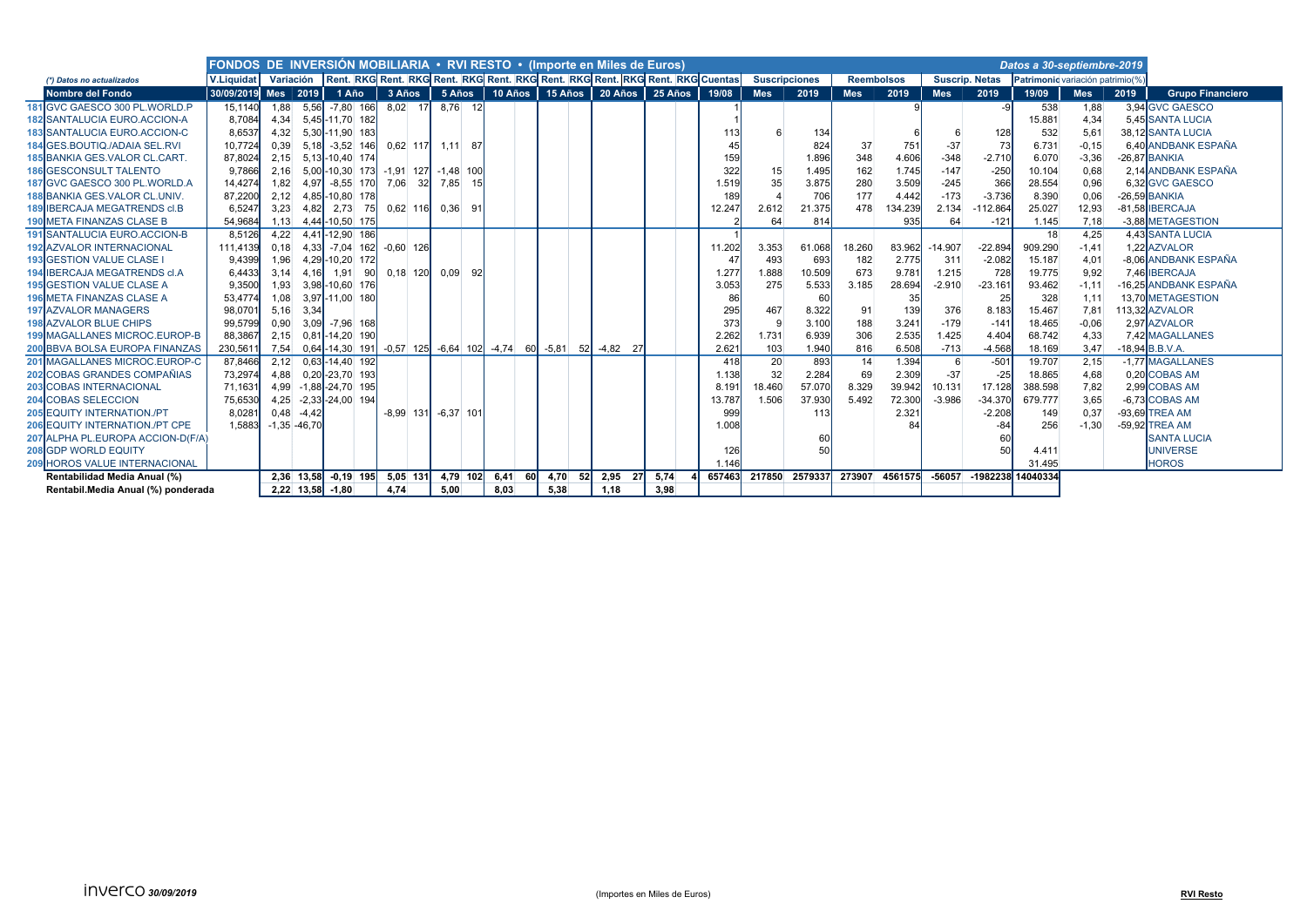|                                        | FONDOS DE INVERSIÓN MOBILIARIA . RVI RESTO . (Importe en Miles de Euros) |      |                    |                        |          |             |                                                          |      |             |         |              |                                                                                         |        |                      |                 |                   |                |            |                       | Datos a 30-septiembre-2019      |            |      |                         |
|----------------------------------------|--------------------------------------------------------------------------|------|--------------------|------------------------|----------|-------------|----------------------------------------------------------|------|-------------|---------|--------------|-----------------------------------------------------------------------------------------|--------|----------------------|-----------------|-------------------|----------------|------------|-----------------------|---------------------------------|------------|------|-------------------------|
| (*) Datos no actualizados              | V.Liquidat                                                               |      |                    |                        |          |             |                                                          |      |             |         |              | Variación Rent. RKG Rent. RKG Rent. RKG Rent. RKG Rent. RKG Rent. RKG Rent. RKG Cuentas |        | <b>Suscripciones</b> |                 | <b>Reembolsos</b> |                |            | <b>Suscrip, Netas</b> | Patrimonic variación patrimio(% |            |      |                         |
| <b>Nombre del Fondo</b>                | 30/09/2019 Mes   2019                                                    |      |                    | 1 Año                  | $3$ Años |             |                                                          |      |             |         |              | 5 Años   10 Años   15 Años   20 Años   25 Años   19/08                                  |        | <b>Mes</b>           | 2019            | <b>Mes</b>        | 2019           | <b>Mes</b> | 2019                  | 19/09                           | <b>Mes</b> | 2019 | <b>Grupo Financiero</b> |
| 181 GVC GAESCO 300 PL.WORLD.P          | 15.1140                                                                  | 1,88 | 5,56               | $-7.80$ 166            |          | $8.02$ 17   | 8.76 12                                                  |      |             |         |              |                                                                                         |        |                      |                 |                   |                |            | $-9$                  | 538                             | 1,88       |      | 3.94 GVC GAESCO         |
| <b>182 SANTALUCIA EURO.ACCION-A</b>    | 8,7084                                                                   | 4,34 |                    | 5,45-11,70 182         |          |             |                                                          |      |             |         |              |                                                                                         |        |                      |                 |                   |                |            |                       | 15.881                          | 4,34       |      | 5.45 SANTA LUCIA        |
| <b>183 SANTALUCIA EURO.ACCION-C</b>    | 8,6537                                                                   | 4,32 |                    | 5,30-11,90 183         |          |             |                                                          |      |             |         |              |                                                                                         |        |                      | 134             |                   |                |            | 128                   | 532                             | 5,61       |      | 38.12 SANTA LUCIA       |
| 184 GES.BOUTIQ./ADAIA SEL.RVI          | 10.7724                                                                  | 0.39 |                    | $5,18$ -3,52 146       |          |             | $0,62$ 117 1,11 87                                       |      |             |         |              |                                                                                         |        |                      | 824             | 37                | 751            | $-37$      | 73                    | 6.731                           | $-0.15$    |      | 6.40 ANDBANK ESPAÑA     |
| <b>185 BANKIA GES. VALOR CL. CART.</b> | 87,8024                                                                  | 2,15 |                    | 5,13-10,40 174         |          |             |                                                          |      |             |         |              |                                                                                         | 159    |                      | 1.896           | 348               | 4.606          | $-348$     | $-2.710$              | 6.070                           | $-3,36$    |      | $-26.87$ BANKIA         |
| <b>186 GESCONSULT TALENTO</b>          | 9.7866                                                                   | 2,16 |                    |                        |          |             | 5,00 - 10,30 173 - 1,91 127 - 1,48 100                   |      |             |         |              |                                                                                         | 322    | 15                   | 1.495           | 162               | 1.745          | $-147$     | $-250$                | 10.104                          | 0,68       |      | 2.14 ANDBANK ESPAÑA     |
| 187 GVC GAESCO 300 PL. WORLD.A         | 14.4274                                                                  | 1.82 |                    | 4,97 -8,55 170         |          |             | 7.06 32 7.85 15                                          |      |             |         |              |                                                                                         | 1.519  | 35                   | 3.875           | 280               | 3.509          | $-245$     | 366                   | 28.554                          | 0.96       |      | 6.32 GVC GAESCO         |
| <b>188 BANKIA GES, VALOR CL, UNIV.</b> | 87,2200                                                                  | 2,12 |                    | 4,85-10,80 178         |          |             |                                                          |      |             |         |              |                                                                                         | 189    |                      | 706             | 177               | 4.442          | $-173$     | $-3.736$              | 8.390                           | 0,06       |      | $-26,59$ BANKIA         |
| 189 IBERCAJA MEGATRENDS cl.B           | 6.5247                                                                   | 3,23 | 4.82               | 2.73                   | 75       |             | $0.62$ 116 $0.36$ 91                                     |      |             |         |              |                                                                                         | 12.247 | 2.612                | 21.375          | 478               | 134.239        | 2.134      | -112.864              | 25.027                          | 12,93      |      | -81,58 IBERCAJA         |
| <b>190 META FINANZAS CLASE B</b>       | 54,9684                                                                  | 1,13 |                    | 4,44-10,50 175         |          |             |                                                          |      |             |         |              |                                                                                         |        | 64                   | 814             |                   | 935            | 64         | $-121$                | 1.145                           | 7,18       |      | -3,88 METAGESTION       |
| <b>191 SANTALUCIA EURO.ACCION-B</b>    | 8.5126                                                                   | 4,22 |                    | 4.41-12.90 186         |          |             |                                                          |      |             |         |              |                                                                                         |        |                      |                 |                   |                |            |                       | 18                              | 4,25       |      | 4.43 SANTA LUCIA        |
| <b>192 AZVALOR INTERNACIONAL</b>       | 111.4139                                                                 | 0.18 |                    | $4,33$ -7,04 162       |          | $-0.60$ 126 |                                                          |      |             |         |              |                                                                                         | 11.202 | 3.353                | 61.068          | 18.260            | 83.962         | $-14.907$  | $-22.894$             | 909.290                         | $-1.41$    |      | 1.22 AZVALOR            |
| <b>193 GESTION VALUE CLASE I</b>       | 9.4399                                                                   | 1.96 |                    | 4,29-10,20 172         |          |             |                                                          |      |             |         |              |                                                                                         | 47     | 493                  | 693             | 182               | 2.775          | 311        | $-2.082$              | 15.187                          | 4,01       |      | -8.06 ANDBANK ESPAÑA    |
| 194 IBERCAJA MEGATRENDS cl.A           | 6.4433                                                                   | 3.14 | 4.16               | 1.91                   | 90       |             | $0.18$ 120 $0.09$                                        |      |             |         |              |                                                                                         | 1.277  | 1.888                | 10.509          | 673               | 9.781          | 1.215      | 728                   | 19.775                          | 9,92       |      | 7.46 IBERCAJA           |
| <b>195 GESTION VALUE CLASE A</b>       | 9.3500                                                                   | 1.93 |                    | 3.98-10.60 176         |          |             |                                                          |      |             |         |              |                                                                                         | 3.053  | 275                  | 5.533           | 3.185             | 28.694         | $-2.910$   | $-23.161$             | 93.462                          | $-1.11$    |      | -16.25 ANDBANK ESPAÑA   |
| <b>196 META FINANZAS CLASE A</b>       | 53,4774                                                                  | 1,08 |                    | 3,97-11,00 180         |          |             |                                                          |      |             |         |              |                                                                                         |        |                      | 60              |                   | 35             |            | 25                    | 328                             | 1,11       |      | 13.70 METAGESTION       |
| <b>197 AZVALOR MANAGERS</b>            | 98,070                                                                   | 5,16 | 3,34               |                        |          |             |                                                          |      |             |         |              |                                                                                         | 295    | 467                  | 8.322           | 91                | 139            | 376        | 8.183                 | 15.467                          | 7,81       |      | 113.32 AZVALOR          |
| <b>198 AZVALOR BLUE CHIPS</b>          | 99.5799                                                                  | 0.90 |                    | $3,09$ -7,96 168       |          |             |                                                          |      |             |         |              |                                                                                         | 373    | - 9                  | 3.100           | 188               | 3.241          | $-179$     | $-141$                | 18.465                          | $-0.06$    |      | 2.97 AZVALOR            |
| <b>199 MAGALLANES MICROC.EUROP-B</b>   | 88,3867                                                                  | 2.15 |                    | $0,81$ -14,20 190      |          |             |                                                          |      |             |         |              |                                                                                         | 2.262  | 1.731                | 6.939           | 306               | 2.535          | 1.425      | 4.404                 | 68.742                          | 4.33       |      | 7.42 MAGALLANES         |
| <b>200 BBVA BOLSA EUROPA FINANZAS</b>  | 230,561                                                                  | 7,54 |                    | $0,64$ -14,30 191      |          |             | $-0.57$ 125 $-6.64$ 102 $-4.74$ 60 $-5.81$ 52 $-4.82$ 27 |      |             |         |              |                                                                                         | 2.621  | 103                  | 1.940           | 816               | 6.508          | $-713$     | $-4.568$              | 18.169                          | 3,47       |      | $-18,94$ B.B.V.A.       |
| 201 MAGALLANES MICROC.EUROP-C          | 87.8466                                                                  | 2.12 |                    | 0.63-14.40 192         |          |             |                                                          |      |             |         |              |                                                                                         | 418    | 20                   | 893             | 14                | 1.394          | 6          | $-501$                | 19.707                          | 2,15       |      | -1.77 MAGALLANES        |
| 202 COBAS GRANDES COMPAÑIAS            | 73,2974                                                                  | 4,88 |                    | 0,20 - 23,70 193       |          |             |                                                          |      |             |         |              |                                                                                         | 1.138  | 32                   | 2.284           | 69                | 2.309          | $-37$      | $-25$                 | 18.865                          | 4.68       |      | 0,20 COBAS AM           |
| <b>203 COBAS INTERNACIONAL</b>         | 71,163                                                                   |      |                    | 4,99 -1,88 - 24,70 195 |          |             |                                                          |      |             |         |              |                                                                                         | 8.19'  | 18.460               | 57.070          | 8.329             | 39.942         | 10.131     | 17.128                | 388.598                         | 7,82       |      | 2,99 COBAS AM           |
| 204 COBAS SELECCION                    | 75,6530                                                                  |      |                    | 4,25 -2,33 -24,00 194  |          |             |                                                          |      |             |         |              |                                                                                         | 13.787 | 1.506                | 37.930          | 5.492             | 72.300         | $-3.986$   | $-34.370$             | 679.777                         | 3,65       |      | -6.73 COBAS AM          |
| <b>205 EQUITY INTERNATION./PT</b>      | 8,028                                                                    |      | $0.48 - 4.42$      |                        |          |             | $-8,99$ 131 $-6,37$ 10                                   |      |             |         |              |                                                                                         | 999    |                      | 113             |                   | 2.321          |            | $-2.208$              | 149                             | 0,37       |      | -93.69 TREA AM          |
| 206 EQUITY INTERNATION./PT CPE         | 1.5883                                                                   |      | $-1,35 - 46,70$    |                        |          |             |                                                          |      |             |         |              |                                                                                         | 1.008  |                      |                 |                   |                |            | $-84$                 | 256                             | $-1.30$    |      | -59.92 TREA AM          |
| 207 ALPHA PL.EUROPA ACCION-D(F/A)      |                                                                          |      |                    |                        |          |             |                                                          |      |             |         |              |                                                                                         |        |                      | 60              |                   |                |            |                       |                                 |            |      | <b>SANTA LUCIA</b>      |
| 208 GDP WORLD EQUITY                   |                                                                          |      |                    |                        |          |             |                                                          |      |             |         |              |                                                                                         | 126    |                      | 50 <sup>1</sup> |                   |                |            | 50                    | 4.411                           |            |      | <b>UNIVERSE</b>         |
| <b>209 HOROS VALUE INTERNACIONAL</b>   |                                                                          |      |                    |                        |          |             |                                                          |      |             |         |              |                                                                                         | 1 146  |                      |                 |                   |                |            |                       | 31.495                          |            |      | <b>HOROS</b>            |
| Rentabilidad Media Anual (%)           |                                                                          |      |                    | 2.36 13.58 -0.19 195   |          | 5.05 131    | 4,79 102                                                 |      | $6.41 \ 60$ | 4.70 52 | 2.95<br>-271 | 5.74                                                                                    | 657463 | 217850               | 2579337         |                   | 273907 4561575 | $-56057$   | -1982238              | 14040334                        |            |      |                         |
| Rentabil.Media Anual (%) ponderada     |                                                                          |      | $2,22$ 13,58 -1,80 |                        | 4,74     |             | 5,00                                                     | 8,03 |             | 5,38    | 1,18         | 3,98                                                                                    |        |                      |                 |                   |                |            |                       |                                 |            |      |                         |